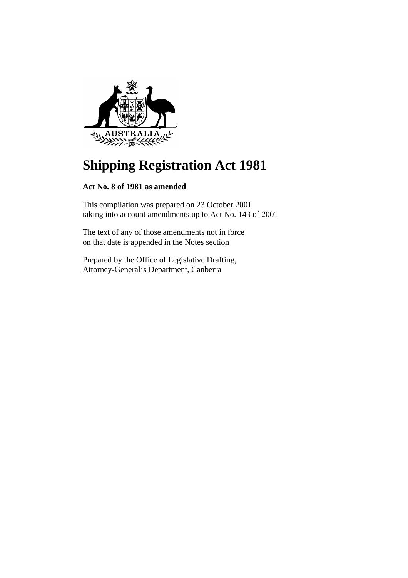

# **Shipping Registration Act 1981**

### **Act No. 8 of 1981 as amended**

This compilation was prepared on 23 October 2001 taking into account amendments up to Act No. 143 of 2001

The text of any of those amendments not in force on that date is appended in the Notes section

Prepared by the Office of Legislative Drafting, Attorney-General's Department, Canberra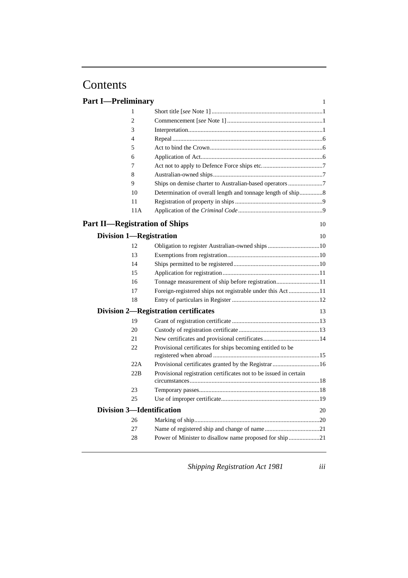# Contents

| <b>Part I</b> —Preliminary       |                                                                   | 1  |
|----------------------------------|-------------------------------------------------------------------|----|
| 1                                |                                                                   |    |
| $\overline{c}$                   |                                                                   |    |
| 3                                |                                                                   |    |
| 4                                |                                                                   |    |
| 5                                |                                                                   |    |
| 6                                |                                                                   |    |
| 7                                |                                                                   |    |
| 8                                |                                                                   |    |
| 9                                | Ships on demise charter to Australian-based operators 7           |    |
| 10                               |                                                                   |    |
| 11                               |                                                                   |    |
| 11A                              |                                                                   |    |
|                                  | <b>Part II—Registration of Ships</b>                              | 10 |
| <b>Division 1-Registration</b>   |                                                                   | 10 |
| 12                               |                                                                   |    |
| 13                               |                                                                   |    |
| 14                               |                                                                   |    |
| 15                               |                                                                   |    |
| 16                               |                                                                   |    |
| 17                               |                                                                   |    |
| 18                               |                                                                   |    |
|                                  | <b>Division 2-Registration certificates</b>                       | 13 |
| 19                               |                                                                   |    |
| 20                               |                                                                   |    |
| 21                               |                                                                   |    |
| 22                               | Provisional certificates for ships becoming entitled to be        |    |
| 22A                              | Provisional certificates granted by the Registrar 16              |    |
| 22B                              | Provisional registration certificates not to be issued in certain |    |
| 23                               |                                                                   |    |
| 25                               |                                                                   |    |
| <b>Division 3-Identification</b> |                                                                   | 20 |
| 26                               |                                                                   |    |
| 27                               |                                                                   |    |
| 28                               |                                                                   |    |
|                                  |                                                                   |    |

*Shipping Registration Act 1981 iii*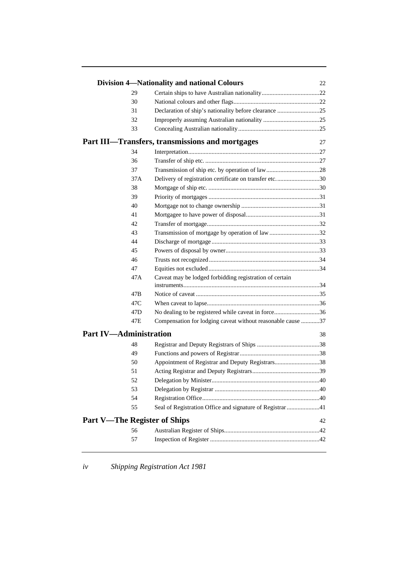|                                     |          | <b>Division 4—Nationality and national Colours</b>          | 22 |
|-------------------------------------|----------|-------------------------------------------------------------|----|
|                                     | 29       |                                                             |    |
|                                     | 30       |                                                             |    |
|                                     | 31       | Declaration of ship's nationality before clearance 25       |    |
|                                     | 32       |                                                             |    |
|                                     | 33       |                                                             |    |
|                                     |          | Part III—Transfers, transmissions and mortgages             | 27 |
|                                     | 34       |                                                             |    |
|                                     | 36       |                                                             |    |
|                                     | 37       |                                                             |    |
|                                     | 37A      | Delivery of registration certificate on transfer etc30      |    |
|                                     | 38       |                                                             |    |
|                                     | 39       |                                                             |    |
|                                     | 40       |                                                             |    |
|                                     | 41       |                                                             |    |
|                                     | 42       |                                                             |    |
|                                     | 43       | Transmission of mortgage by operation of law 32             |    |
|                                     | 44       |                                                             |    |
|                                     | 45       |                                                             |    |
|                                     | 46       |                                                             |    |
|                                     | 47       |                                                             |    |
|                                     | 47A      | Caveat may be lodged forbidding registration of certain     |    |
|                                     | 47B      |                                                             |    |
|                                     | 47C      |                                                             |    |
|                                     | 47D      | No dealing to be registered while caveat in force36         |    |
|                                     | 47E      | Compensation for lodging caveat without reasonable cause 37 |    |
| <b>Part IV-Administration</b>       |          |                                                             | 38 |
|                                     | 48       |                                                             |    |
|                                     | 49       |                                                             |    |
|                                     | 50       | Appointment of Registrar and Deputy Registrars38            |    |
|                                     | 51       |                                                             |    |
|                                     | 52       |                                                             |    |
|                                     |          |                                                             |    |
|                                     | 53<br>54 |                                                             |    |
|                                     | 55       |                                                             |    |
|                                     |          | Seal of Registration Office and signature of Registrar 41   |    |
| <b>Part V—The Register of Ships</b> |          |                                                             | 42 |
|                                     | 56       |                                                             |    |
|                                     | 57       |                                                             |    |

*iv Shipping Registration Act 1981*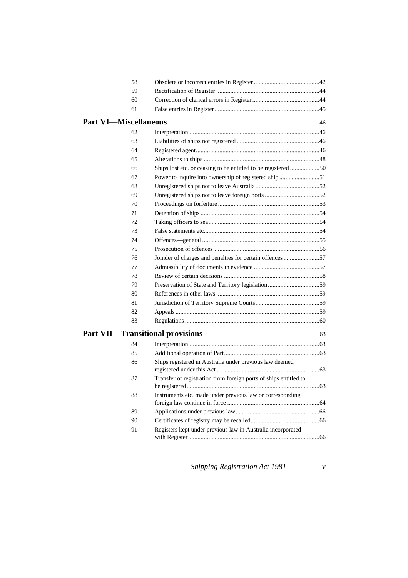|                              | 58 |                                                                  |    |
|------------------------------|----|------------------------------------------------------------------|----|
|                              | 59 |                                                                  |    |
|                              | 60 |                                                                  |    |
|                              | 61 |                                                                  |    |
| <b>Part VI-Miscellaneous</b> |    |                                                                  | 46 |
|                              | 62 |                                                                  |    |
|                              | 63 |                                                                  |    |
|                              | 64 |                                                                  |    |
|                              | 65 |                                                                  |    |
|                              | 66 | Ships lost etc. or ceasing to be entitled to be registered 50    |    |
|                              | 67 | Power to inquire into ownership of registered ship51             |    |
|                              | 68 |                                                                  |    |
|                              | 69 |                                                                  |    |
|                              | 70 |                                                                  |    |
|                              | 71 |                                                                  |    |
|                              | 72 |                                                                  |    |
|                              | 73 |                                                                  |    |
|                              | 74 |                                                                  |    |
|                              | 75 |                                                                  |    |
|                              | 76 | Joinder of charges and penalties for certain offences 57         |    |
|                              | 77 |                                                                  |    |
|                              | 78 |                                                                  |    |
|                              | 79 |                                                                  |    |
|                              | 80 |                                                                  |    |
|                              | 81 |                                                                  |    |
|                              | 82 |                                                                  |    |
|                              | 83 |                                                                  |    |
|                              |    | <b>Part VII—Transitional provisions</b>                          | 63 |
|                              | 84 |                                                                  |    |
|                              | 85 |                                                                  |    |
|                              | 86 | Ships registered in Australia under previous law deemed          |    |
|                              | 87 | Transfer of registration from foreign ports of ships entitled to |    |
|                              | 88 | Instruments etc. made under previous law or corresponding        |    |
|                              | 89 |                                                                  |    |
|                              | 90 |                                                                  |    |
|                              | 91 | Registers kept under previous law in Australia incorporated      |    |
|                              |    |                                                                  |    |

*Shipping Registration Act 1981 v*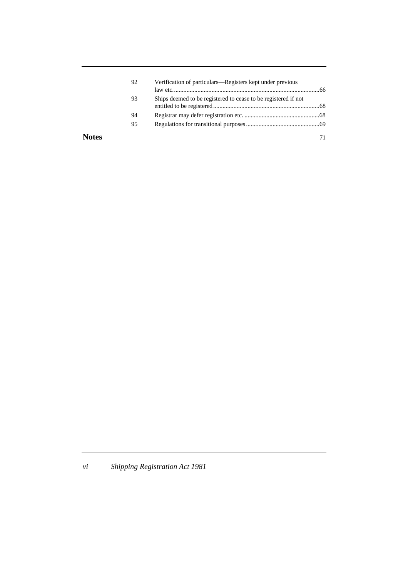|              | 92 | Verification of particulars—Registers kept under previous      |  |
|--------------|----|----------------------------------------------------------------|--|
|              | 93 | Ships deemed to be registered to cease to be registered if not |  |
|              | 94 |                                                                |  |
|              | 95 |                                                                |  |
| <b>Notes</b> |    |                                                                |  |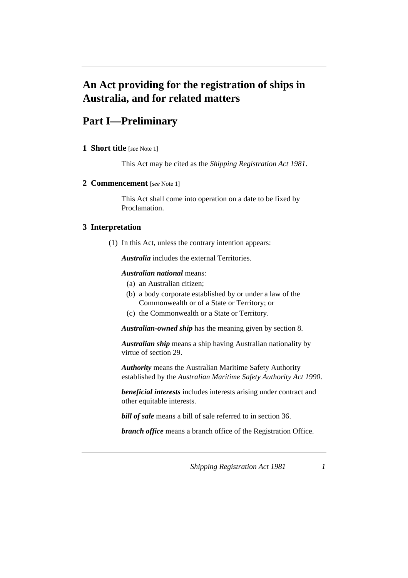# **An Act providing for the registration of ships in Australia, and for related matters**

# **Part I—Preliminary**

**1 Short title** [*see* Note 1]

This Act may be cited as the *Shipping Registration Act 1981*.

#### **2 Commencement** [*see* Note 1]

This Act shall come into operation on a date to be fixed by Proclamation.

#### **3 Interpretation**

(1) In this Act, unless the contrary intention appears:

*Australia* includes the external Territories.

#### *Australian national* means:

- (a) an Australian citizen;
- (b) a body corporate established by or under a law of the Commonwealth or of a State or Territory; or
- (c) the Commonwealth or a State or Territory.

*Australian-owned ship* has the meaning given by section 8.

*Australian ship* means a ship having Australian nationality by virtue of section 29.

*Authority* means the Australian Maritime Safety Authority established by the *Australian Maritime Safety Authority Act 1990*.

*beneficial interests* includes interests arising under contract and other equitable interests.

*bill of sale* means a bill of sale referred to in section 36.

*branch office* means a branch office of the Registration Office.

*Shipping Registration Act 1981 1*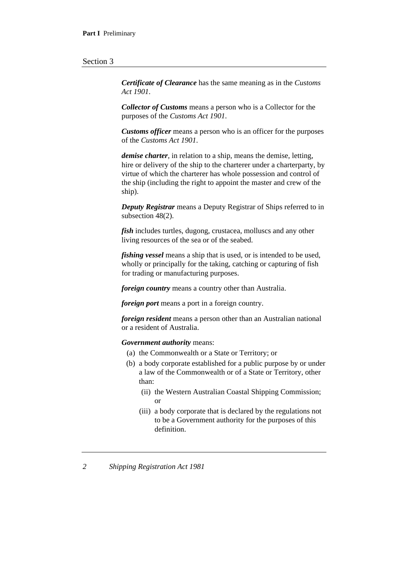*Certificate of Clearance* has the same meaning as in the *Customs Act 1901*.

*Collector of Customs* means a person who is a Collector for the purposes of the *Customs Act 1901*.

*Customs officer* means a person who is an officer for the purposes of the *Customs Act 1901*.

*demise charter*, in relation to a ship, means the demise, letting, hire or delivery of the ship to the charterer under a charterparty, by virtue of which the charterer has whole possession and control of the ship (including the right to appoint the master and crew of the ship).

*Deputy Registrar* means a Deputy Registrar of Ships referred to in subsection 48(2).

*fish* includes turtles, dugong, crustacea, molluscs and any other living resources of the sea or of the seabed.

*fishing vessel* means a ship that is used, or is intended to be used, wholly or principally for the taking, catching or capturing of fish for trading or manufacturing purposes.

*foreign country* means a country other than Australia.

*foreign port* means a port in a foreign country.

*foreign resident* means a person other than an Australian national or a resident of Australia.

*Government authority* means:

- (a) the Commonwealth or a State or Territory; or
- (b) a body corporate established for a public purpose by or under a law of the Commonwealth or of a State or Territory, other than:
	- (ii) the Western Australian Coastal Shipping Commission; or
	- (iii) a body corporate that is declared by the regulations not to be a Government authority for the purposes of this definition.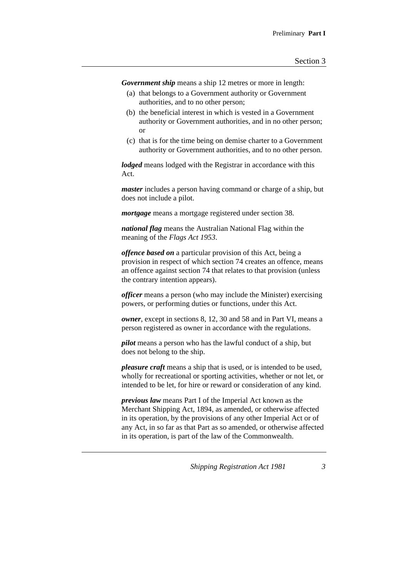*Government ship* means a ship 12 metres or more in length:

- (a) that belongs to a Government authority or Government authorities, and to no other person;
- (b) the beneficial interest in which is vested in a Government authority or Government authorities, and in no other person; or
- (c) that is for the time being on demise charter to a Government authority or Government authorities, and to no other person.

*lodged* means lodged with the Registrar in accordance with this Act.

*master* includes a person having command or charge of a ship, but does not include a pilot.

*mortgage* means a mortgage registered under section 38.

*national flag* means the Australian National Flag within the meaning of the *Flags Act 1953*.

*offence based on* a particular provision of this Act, being a provision in respect of which section 74 creates an offence, means an offence against section 74 that relates to that provision (unless the contrary intention appears).

*officer* means a person (who may include the Minister) exercising powers, or performing duties or functions, under this Act.

*owner*, except in sections 8, 12, 30 and 58 and in Part VI, means a person registered as owner in accordance with the regulations.

*pilot* means a person who has the lawful conduct of a ship, but does not belong to the ship.

*pleasure craft* means a ship that is used, or is intended to be used, wholly for recreational or sporting activities, whether or not let, or intended to be let, for hire or reward or consideration of any kind.

*previous law* means Part I of the Imperial Act known as the Merchant Shipping Act, 1894, as amended, or otherwise affected in its operation, by the provisions of any other Imperial Act or of any Act, in so far as that Part as so amended, or otherwise affected in its operation, is part of the law of the Commonwealth.

*Shipping Registration Act 1981 3*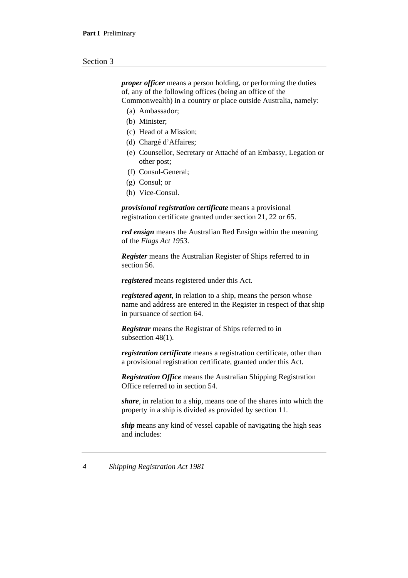*proper officer* means a person holding, or performing the duties of, any of the following offices (being an office of the Commonwealth) in a country or place outside Australia, namely:

- (a) Ambassador;
- (b) Minister;
- (c) Head of a Mission;
- (d) Chargé d'Affaires;
- (e) Counsellor, Secretary or Attaché of an Embassy, Legation or other post;
- (f) Consul-General;
- (g) Consul; or
- (h) Vice-Consul.

*provisional registration certificate* means a provisional registration certificate granted under section 21, 22 or 65.

*red ensign* means the Australian Red Ensign within the meaning of the *Flags Act 1953*.

*Register* means the Australian Register of Ships referred to in section 56.

*registered* means registered under this Act.

*registered agent*, in relation to a ship, means the person whose name and address are entered in the Register in respect of that ship in pursuance of section 64.

*Registrar* means the Registrar of Ships referred to in subsection 48(1).

*registration certificate* means a registration certificate, other than a provisional registration certificate, granted under this Act.

*Registration Office* means the Australian Shipping Registration Office referred to in section 54.

*share*, in relation to a ship, means one of the shares into which the property in a ship is divided as provided by section 11.

*ship* means any kind of vessel capable of navigating the high seas and includes: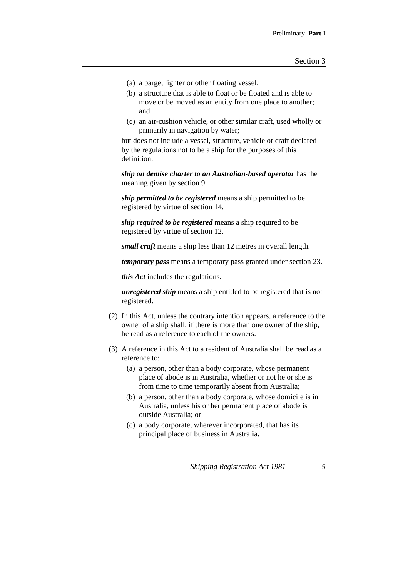- (a) a barge, lighter or other floating vessel;
- (b) a structure that is able to float or be floated and is able to move or be moved as an entity from one place to another; and
- (c) an air-cushion vehicle, or other similar craft, used wholly or primarily in navigation by water;

but does not include a vessel, structure, vehicle or craft declared by the regulations not to be a ship for the purposes of this definition.

*ship on demise charter to an Australian-based operator* has the meaning given by section 9.

*ship permitted to be registered* means a ship permitted to be registered by virtue of section 14.

*ship required to be registered* means a ship required to be registered by virtue of section 12.

*small craft* means a ship less than 12 metres in overall length.

*temporary pass* means a temporary pass granted under section 23.

*this Act* includes the regulations.

*unregistered ship* means a ship entitled to be registered that is not registered.

- (2) In this Act, unless the contrary intention appears, a reference to the owner of a ship shall, if there is more than one owner of the ship, be read as a reference to each of the owners.
- (3) A reference in this Act to a resident of Australia shall be read as a reference to:
	- (a) a person, other than a body corporate, whose permanent place of abode is in Australia, whether or not he or she is from time to time temporarily absent from Australia;
	- (b) a person, other than a body corporate, whose domicile is in Australia, unless his or her permanent place of abode is outside Australia; or
	- (c) a body corporate, wherever incorporated, that has its principal place of business in Australia.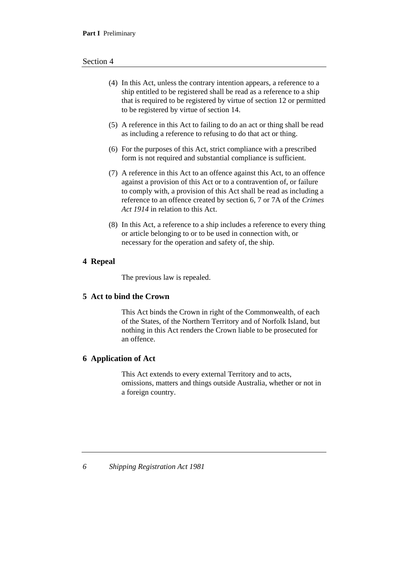- (4) In this Act, unless the contrary intention appears, a reference to a ship entitled to be registered shall be read as a reference to a ship that is required to be registered by virtue of section 12 or permitted to be registered by virtue of section 14.
- (5) A reference in this Act to failing to do an act or thing shall be read as including a reference to refusing to do that act or thing.
- (6) For the purposes of this Act, strict compliance with a prescribed form is not required and substantial compliance is sufficient.
- (7) A reference in this Act to an offence against this Act, to an offence against a provision of this Act or to a contravention of, or failure to comply with, a provision of this Act shall be read as including a reference to an offence created by section 6, 7 or 7A of the *Crimes Act 1914* in relation to this Act.
- (8) In this Act, a reference to a ship includes a reference to every thing or article belonging to or to be used in connection with, or necessary for the operation and safety of, the ship.

#### **4 Repeal**

The previous law is repealed.

#### **5 Act to bind the Crown**

This Act binds the Crown in right of the Commonwealth, of each of the States, of the Northern Territory and of Norfolk Island, but nothing in this Act renders the Crown liable to be prosecuted for an offence.

#### **6 Application of Act**

This Act extends to every external Territory and to acts, omissions, matters and things outside Australia, whether or not in a foreign country.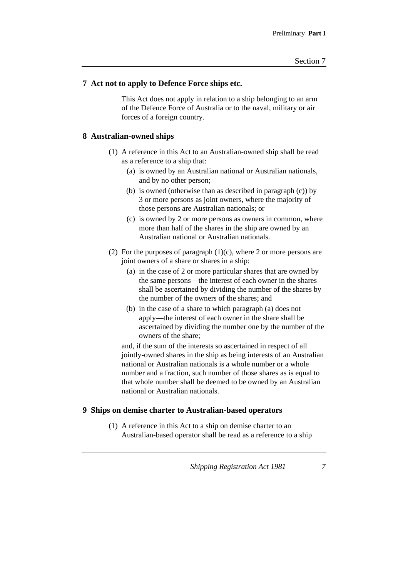#### **7 Act not to apply to Defence Force ships etc.**

This Act does not apply in relation to a ship belonging to an arm of the Defence Force of Australia or to the naval, military or air forces of a foreign country.

#### **8 Australian-owned ships**

- (1) A reference in this Act to an Australian-owned ship shall be read as a reference to a ship that:
	- (a) is owned by an Australian national or Australian nationals, and by no other person;
	- (b) is owned (otherwise than as described in paragraph (c)) by 3 or more persons as joint owners, where the majority of those persons are Australian nationals; or
	- (c) is owned by 2 or more persons as owners in common, where more than half of the shares in the ship are owned by an Australian national or Australian nationals.
- (2) For the purposes of paragraph  $(1)(c)$ , where 2 or more persons are joint owners of a share or shares in a ship:
	- (a) in the case of 2 or more particular shares that are owned by the same persons—the interest of each owner in the shares shall be ascertained by dividing the number of the shares by the number of the owners of the shares; and
	- (b) in the case of a share to which paragraph (a) does not apply—the interest of each owner in the share shall be ascertained by dividing the number one by the number of the owners of the share;

and, if the sum of the interests so ascertained in respect of all jointly-owned shares in the ship as being interests of an Australian national or Australian nationals is a whole number or a whole number and a fraction, such number of those shares as is equal to that whole number shall be deemed to be owned by an Australian national or Australian nationals.

#### **9 Ships on demise charter to Australian-based operators**

(1) A reference in this Act to a ship on demise charter to an Australian-based operator shall be read as a reference to a ship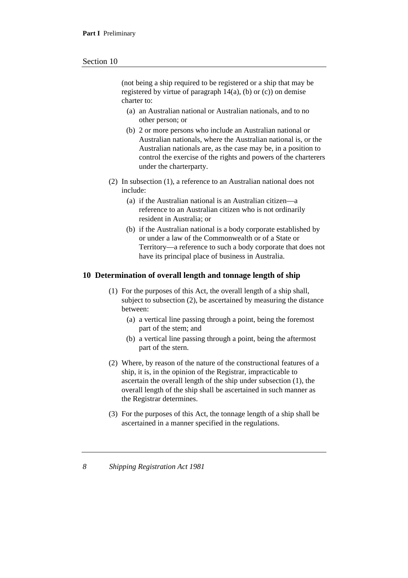(not being a ship required to be registered or a ship that may be registered by virtue of paragraph 14(a), (b) or (c)) on demise charter to:

- (a) an Australian national or Australian nationals, and to no other person; or
- (b) 2 or more persons who include an Australian national or Australian nationals, where the Australian national is, or the Australian nationals are, as the case may be, in a position to control the exercise of the rights and powers of the charterers under the charterparty.
- (2) In subsection (1), a reference to an Australian national does not include:
	- (a) if the Australian national is an Australian citizen—a reference to an Australian citizen who is not ordinarily resident in Australia; or
	- (b) if the Australian national is a body corporate established by or under a law of the Commonwealth or of a State or Territory—a reference to such a body corporate that does not have its principal place of business in Australia.

#### **10 Determination of overall length and tonnage length of ship**

- (1) For the purposes of this Act, the overall length of a ship shall, subject to subsection (2), be ascertained by measuring the distance between:
	- (a) a vertical line passing through a point, being the foremost part of the stem; and
	- (b) a vertical line passing through a point, being the aftermost part of the stern.
- (2) Where, by reason of the nature of the constructional features of a ship, it is, in the opinion of the Registrar, impracticable to ascertain the overall length of the ship under subsection (1), the overall length of the ship shall be ascertained in such manner as the Registrar determines.
- (3) For the purposes of this Act, the tonnage length of a ship shall be ascertained in a manner specified in the regulations.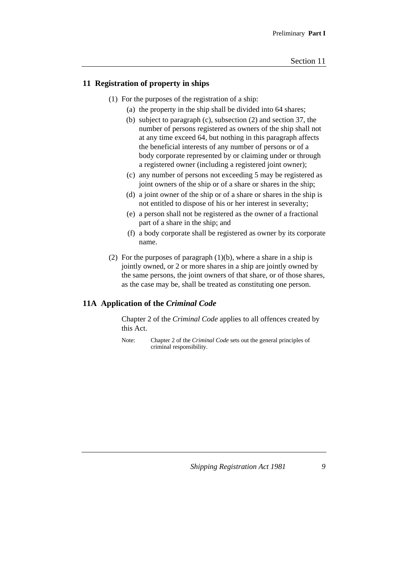#### **11 Registration of property in ships**

- (1) For the purposes of the registration of a ship:
	- (a) the property in the ship shall be divided into 64 shares;
	- (b) subject to paragraph (c), subsection (2) and section 37, the number of persons registered as owners of the ship shall not at any time exceed 64, but nothing in this paragraph affects the beneficial interests of any number of persons or of a body corporate represented by or claiming under or through a registered owner (including a registered joint owner);
	- (c) any number of persons not exceeding 5 may be registered as joint owners of the ship or of a share or shares in the ship;
	- (d) a joint owner of the ship or of a share or shares in the ship is not entitled to dispose of his or her interest in severalty;
	- (e) a person shall not be registered as the owner of a fractional part of a share in the ship; and
	- (f) a body corporate shall be registered as owner by its corporate name.
- (2) For the purposes of paragraph  $(1)(b)$ , where a share in a ship is jointly owned, or 2 or more shares in a ship are jointly owned by the same persons, the joint owners of that share, or of those shares, as the case may be, shall be treated as constituting one person.

#### **11A Application of the** *Criminal Code*

Chapter 2 of the *Criminal Code* applies to all offences created by this Act.

Note: Chapter 2 of the *Criminal Code* sets out the general principles of criminal responsibility.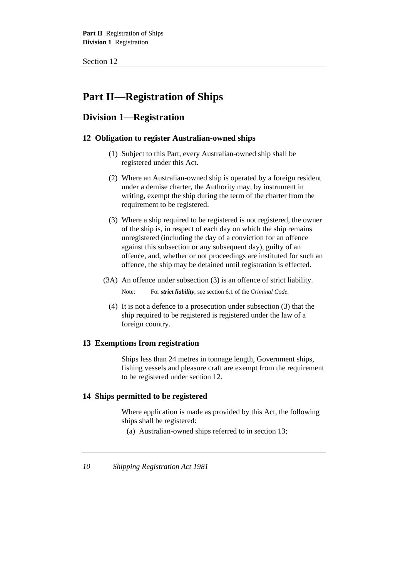# **Part II—Registration of Ships**

# **Division 1—Registration**

#### **12 Obligation to register Australian-owned ships**

- (1) Subject to this Part, every Australian-owned ship shall be registered under this Act.
- (2) Where an Australian-owned ship is operated by a foreign resident under a demise charter, the Authority may, by instrument in writing, exempt the ship during the term of the charter from the requirement to be registered.
- (3) Where a ship required to be registered is not registered, the owner of the ship is, in respect of each day on which the ship remains unregistered (including the day of a conviction for an offence against this subsection or any subsequent day), guilty of an offence, and, whether or not proceedings are instituted for such an offence, the ship may be detained until registration is effected.
- (3A) An offence under subsection (3) is an offence of strict liability.

Note: For *strict liability*, see section 6.1 of the *Criminal Code*.

(4) It is not a defence to a prosecution under subsection (3) that the ship required to be registered is registered under the law of a foreign country.

### **13 Exemptions from registration**

Ships less than 24 metres in tonnage length, Government ships, fishing vessels and pleasure craft are exempt from the requirement to be registered under section 12.

#### **14 Ships permitted to be registered**

Where application is made as provided by this Act, the following ships shall be registered:

(a) Australian-owned ships referred to in section 13;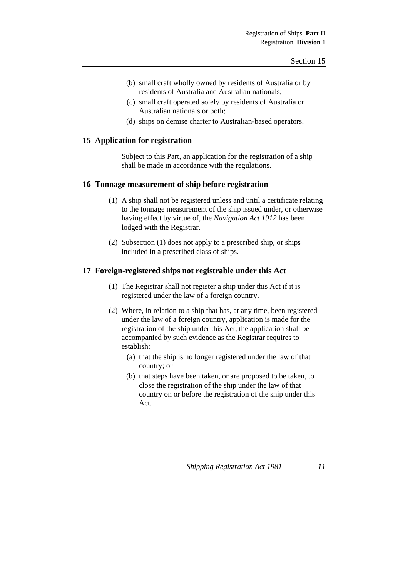- (b) small craft wholly owned by residents of Australia or by residents of Australia and Australian nationals;
- (c) small craft operated solely by residents of Australia or Australian nationals or both;
- (d) ships on demise charter to Australian-based operators.

#### **15 Application for registration**

Subject to this Part, an application for the registration of a ship shall be made in accordance with the regulations.

#### **16 Tonnage measurement of ship before registration**

- (1) A ship shall not be registered unless and until a certificate relating to the tonnage measurement of the ship issued under, or otherwise having effect by virtue of, the *Navigation Act 1912* has been lodged with the Registrar.
- (2) Subsection (1) does not apply to a prescribed ship, or ships included in a prescribed class of ships.

#### **17 Foreign-registered ships not registrable under this Act**

- (1) The Registrar shall not register a ship under this Act if it is registered under the law of a foreign country.
- (2) Where, in relation to a ship that has, at any time, been registered under the law of a foreign country, application is made for the registration of the ship under this Act, the application shall be accompanied by such evidence as the Registrar requires to establish:
	- (a) that the ship is no longer registered under the law of that country; or
	- (b) that steps have been taken, or are proposed to be taken, to close the registration of the ship under the law of that country on or before the registration of the ship under this Act.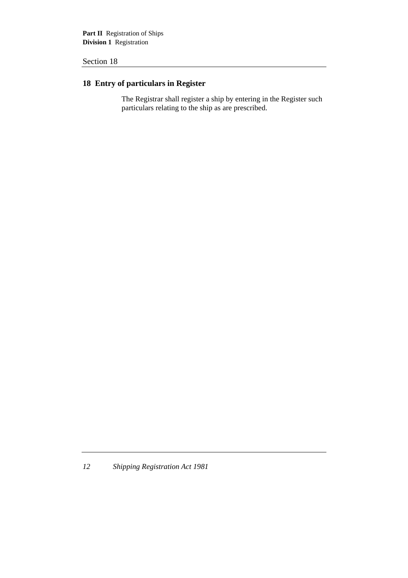# **18 Entry of particulars in Register**

The Registrar shall register a ship by entering in the Register such particulars relating to the ship as are prescribed.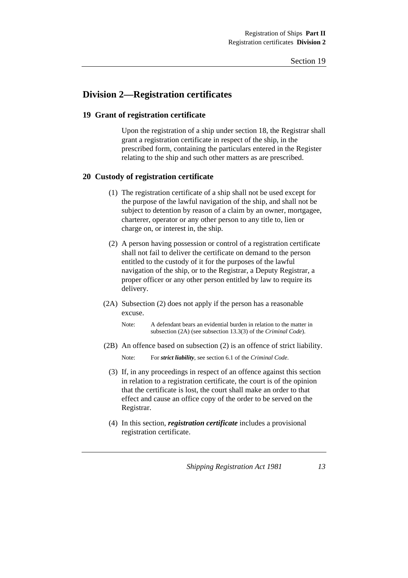# **Division 2—Registration certificates**

#### **19 Grant of registration certificate**

Upon the registration of a ship under section 18, the Registrar shall grant a registration certificate in respect of the ship, in the prescribed form, containing the particulars entered in the Register relating to the ship and such other matters as are prescribed.

#### **20 Custody of registration certificate**

- (1) The registration certificate of a ship shall not be used except for the purpose of the lawful navigation of the ship, and shall not be subject to detention by reason of a claim by an owner, mortgagee, charterer, operator or any other person to any title to, lien or charge on, or interest in, the ship.
- (2) A person having possession or control of a registration certificate shall not fail to deliver the certificate on demand to the person entitled to the custody of it for the purposes of the lawful navigation of the ship, or to the Registrar, a Deputy Registrar, a proper officer or any other person entitled by law to require its delivery.
- (2A) Subsection (2) does not apply if the person has a reasonable excuse.

(2B) An offence based on subsection (2) is an offence of strict liability.

- (3) If, in any proceedings in respect of an offence against this section in relation to a registration certificate, the court is of the opinion that the certificate is lost, the court shall make an order to that effect and cause an office copy of the order to be served on the Registrar.
- (4) In this section, *registration certificate* includes a provisional registration certificate.

Note: A defendant bears an evidential burden in relation to the matter in subsection (2A) (see subsection 13.3(3) of the *Criminal Code*).

Note: For *strict liability*, see section 6.1 of the *Criminal Code*.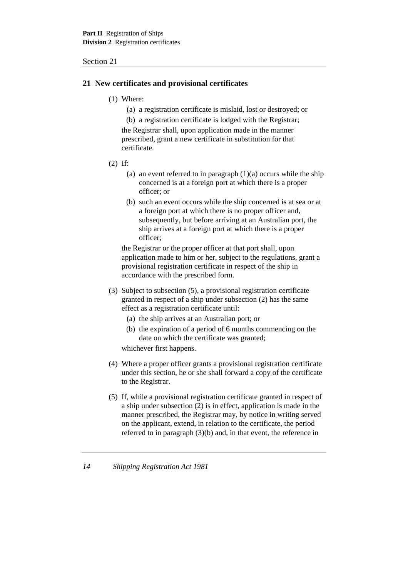#### **21 New certificates and provisional certificates**

- (1) Where:
	- (a) a registration certificate is mislaid, lost or destroyed; or

(b) a registration certificate is lodged with the Registrar; the Registrar shall, upon application made in the manner prescribed, grant a new certificate in substitution for that certificate.

- (2) If:
	- (a) an event referred to in paragraph  $(1)(a)$  occurs while the ship concerned is at a foreign port at which there is a proper officer; or
	- (b) such an event occurs while the ship concerned is at sea or at a foreign port at which there is no proper officer and, subsequently, but before arriving at an Australian port, the ship arrives at a foreign port at which there is a proper officer;

the Registrar or the proper officer at that port shall, upon application made to him or her, subject to the regulations, grant a provisional registration certificate in respect of the ship in accordance with the prescribed form.

- (3) Subject to subsection (5), a provisional registration certificate granted in respect of a ship under subsection (2) has the same effect as a registration certificate until:
	- (a) the ship arrives at an Australian port; or
	- (b) the expiration of a period of 6 months commencing on the date on which the certificate was granted;

whichever first happens.

- (4) Where a proper officer grants a provisional registration certificate under this section, he or she shall forward a copy of the certificate to the Registrar.
- (5) If, while a provisional registration certificate granted in respect of a ship under subsection (2) is in effect, application is made in the manner prescribed, the Registrar may, by notice in writing served on the applicant, extend, in relation to the certificate, the period referred to in paragraph (3)(b) and, in that event, the reference in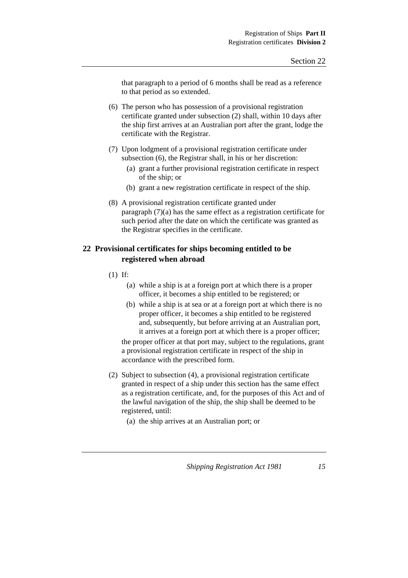that paragraph to a period of 6 months shall be read as a reference to that period as so extended.

- (6) The person who has possession of a provisional registration certificate granted under subsection (2) shall, within 10 days after the ship first arrives at an Australian port after the grant, lodge the certificate with the Registrar.
- (7) Upon lodgment of a provisional registration certificate under subsection (6), the Registrar shall, in his or her discretion:
	- (a) grant a further provisional registration certificate in respect of the ship; or
	- (b) grant a new registration certificate in respect of the ship.
- (8) A provisional registration certificate granted under paragraph  $(7)(a)$  has the same effect as a registration certificate for such period after the date on which the certificate was granted as the Registrar specifies in the certificate.

### **22 Provisional certificates for ships becoming entitled to be registered when abroad**

- (1) If:
	- (a) while a ship is at a foreign port at which there is a proper officer, it becomes a ship entitled to be registered; or
	- (b) while a ship is at sea or at a foreign port at which there is no proper officer, it becomes a ship entitled to be registered and, subsequently, but before arriving at an Australian port, it arrives at a foreign port at which there is a proper officer;

the proper officer at that port may, subject to the regulations, grant a provisional registration certificate in respect of the ship in accordance with the prescribed form.

- (2) Subject to subsection (4), a provisional registration certificate granted in respect of a ship under this section has the same effect as a registration certificate, and, for the purposes of this Act and of the lawful navigation of the ship, the ship shall be deemed to be registered, until:
	- (a) the ship arrives at an Australian port; or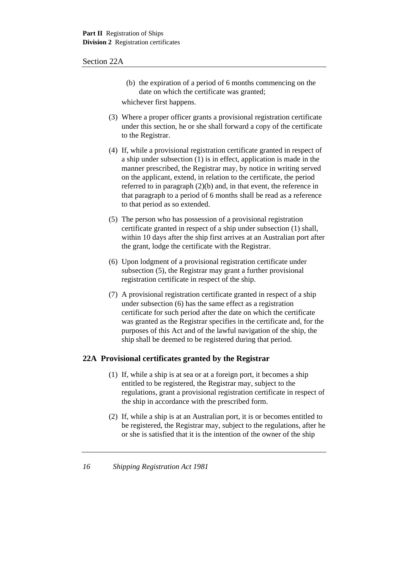#### Section 22A

- (b) the expiration of a period of 6 months commencing on the date on which the certificate was granted; whichever first happens.
- (3) Where a proper officer grants a provisional registration certificate under this section, he or she shall forward a copy of the certificate to the Registrar.
- (4) If, while a provisional registration certificate granted in respect of a ship under subsection (1) is in effect, application is made in the manner prescribed, the Registrar may, by notice in writing served on the applicant, extend, in relation to the certificate, the period referred to in paragraph (2)(b) and, in that event, the reference in that paragraph to a period of 6 months shall be read as a reference to that period as so extended.
- (5) The person who has possession of a provisional registration certificate granted in respect of a ship under subsection (1) shall, within 10 days after the ship first arrives at an Australian port after the grant, lodge the certificate with the Registrar.
- (6) Upon lodgment of a provisional registration certificate under subsection (5), the Registrar may grant a further provisional registration certificate in respect of the ship.
- (7) A provisional registration certificate granted in respect of a ship under subsection (6) has the same effect as a registration certificate for such period after the date on which the certificate was granted as the Registrar specifies in the certificate and, for the purposes of this Act and of the lawful navigation of the ship, the ship shall be deemed to be registered during that period.

#### **22A Provisional certificates granted by the Registrar**

- (1) If, while a ship is at sea or at a foreign port, it becomes a ship entitled to be registered, the Registrar may, subject to the regulations, grant a provisional registration certificate in respect of the ship in accordance with the prescribed form.
- (2) If, while a ship is at an Australian port, it is or becomes entitled to be registered, the Registrar may, subject to the regulations, after he or she is satisfied that it is the intention of the owner of the ship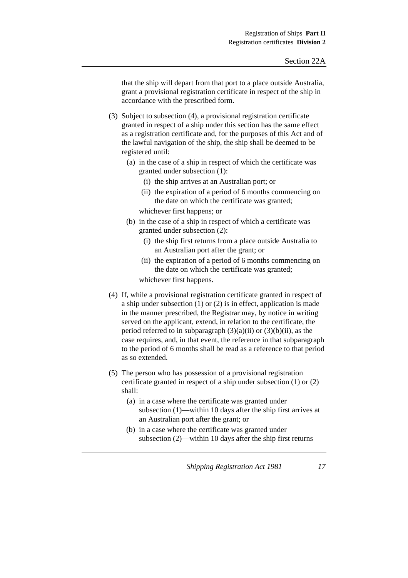that the ship will depart from that port to a place outside Australia, grant a provisional registration certificate in respect of the ship in accordance with the prescribed form.

(3) Subject to subsection (4), a provisional registration certificate granted in respect of a ship under this section has the same effect as a registration certificate and, for the purposes of this Act and of the lawful navigation of the ship, the ship shall be deemed to be registered until:

- (a) in the case of a ship in respect of which the certificate was granted under subsection (1):
	- (i) the ship arrives at an Australian port; or
	- (ii) the expiration of a period of 6 months commencing on the date on which the certificate was granted;

whichever first happens; or

- (b) in the case of a ship in respect of which a certificate was granted under subsection (2):
	- (i) the ship first returns from a place outside Australia to an Australian port after the grant; or
	- (ii) the expiration of a period of 6 months commencing on the date on which the certificate was granted;

whichever first happens.

- (4) If, while a provisional registration certificate granted in respect of a ship under subsection (1) or (2) is in effect, application is made in the manner prescribed, the Registrar may, by notice in writing served on the applicant, extend, in relation to the certificate, the period referred to in subparagraph  $(3)(a)(ii)$  or  $(3)(b)(ii)$ , as the case requires, and, in that event, the reference in that subparagraph to the period of 6 months shall be read as a reference to that period as so extended.
- (5) The person who has possession of a provisional registration certificate granted in respect of a ship under subsection (1) or (2) shall:
	- (a) in a case where the certificate was granted under subsection (1)—within 10 days after the ship first arrives at an Australian port after the grant; or
	- (b) in a case where the certificate was granted under subsection (2)—within 10 days after the ship first returns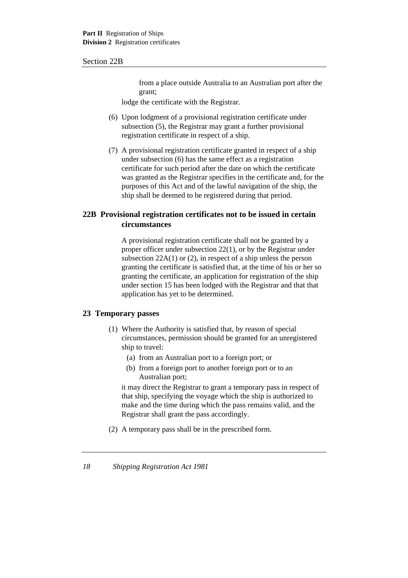#### Section 22B

from a place outside Australia to an Australian port after the grant;

lodge the certificate with the Registrar.

- (6) Upon lodgment of a provisional registration certificate under subsection (5), the Registrar may grant a further provisional registration certificate in respect of a ship.
- (7) A provisional registration certificate granted in respect of a ship under subsection (6) has the same effect as a registration certificate for such period after the date on which the certificate was granted as the Registrar specifies in the certificate and, for the purposes of this Act and of the lawful navigation of the ship, the ship shall be deemed to be registered during that period.

#### **22B Provisional registration certificates not to be issued in certain circumstances**

A provisional registration certificate shall not be granted by a proper officer under subsection 22(1), or by the Registrar under subsection 22A(1) or (2), in respect of a ship unless the person granting the certificate is satisfied that, at the time of his or her so granting the certificate, an application for registration of the ship under section 15 has been lodged with the Registrar and that that application has yet to be determined.

#### **23 Temporary passes**

- (1) Where the Authority is satisfied that, by reason of special circumstances, permission should be granted for an unregistered ship to travel:
	- (a) from an Australian port to a foreign port; or
	- (b) from a foreign port to another foreign port or to an Australian port;

it may direct the Registrar to grant a temporary pass in respect of that ship, specifying the voyage which the ship is authorized to make and the time during which the pass remains valid, and the Registrar shall grant the pass accordingly.

(2) A temporary pass shall be in the prescribed form.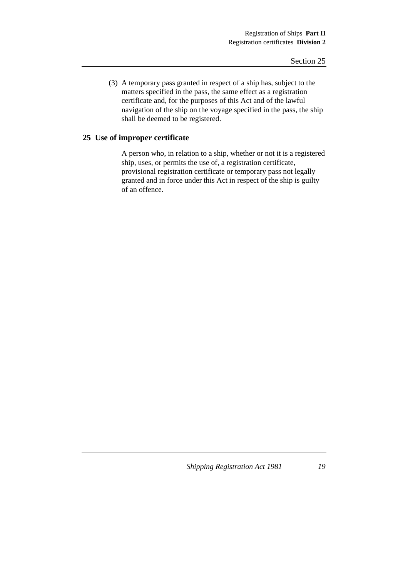(3) A temporary pass granted in respect of a ship has, subject to the matters specified in the pass, the same effect as a registration certificate and, for the purposes of this Act and of the lawful navigation of the ship on the voyage specified in the pass, the ship shall be deemed to be registered.

#### **25 Use of improper certificate**

A person who, in relation to a ship, whether or not it is a registered ship, uses, or permits the use of, a registration certificate, provisional registration certificate or temporary pass not legally granted and in force under this Act in respect of the ship is guilty of an offence.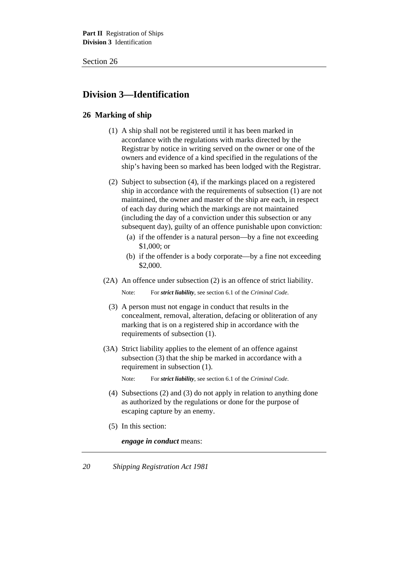# **Division 3—Identification**

#### **26 Marking of ship**

- (1) A ship shall not be registered until it has been marked in accordance with the regulations with marks directed by the Registrar by notice in writing served on the owner or one of the owners and evidence of a kind specified in the regulations of the ship's having been so marked has been lodged with the Registrar.
- (2) Subject to subsection (4), if the markings placed on a registered ship in accordance with the requirements of subsection (1) are not maintained, the owner and master of the ship are each, in respect of each day during which the markings are not maintained (including the day of a conviction under this subsection or any subsequent day), guilty of an offence punishable upon conviction:
	- (a) if the offender is a natural person—by a fine not exceeding \$1,000; or
	- (b) if the offender is a body corporate—by a fine not exceeding \$2,000.
- (2A) An offence under subsection (2) is an offence of strict liability.

Note: For *strict liability*, see section 6.1 of the *Criminal Code*.

- (3) A person must not engage in conduct that results in the concealment, removal, alteration, defacing or obliteration of any marking that is on a registered ship in accordance with the requirements of subsection (1).
- (3A) Strict liability applies to the element of an offence against subsection (3) that the ship be marked in accordance with a requirement in subsection (1).

Note: For *strict liability*, see section 6.1 of the *Criminal Code*.

- (4) Subsections (2) and (3) do not apply in relation to anything done as authorized by the regulations or done for the purpose of escaping capture by an enemy.
- (5) In this section:

*engage in conduct* means: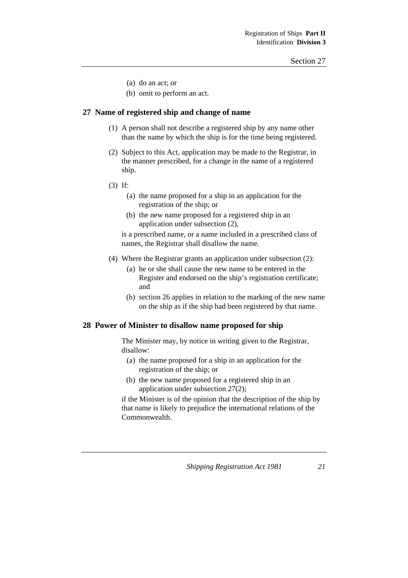- (a) do an act; or
- (b) omit to perform an act.

#### **27 Name of registered ship and change of name**

- (1) A person shall not describe a registered ship by any name other than the name by which the ship is for the time being registered.
- (2) Subject to this Act, application may be made to the Registrar, in the manner prescribed, for a change in the name of a registered ship.
- (3) If:
	- (a) the name proposed for a ship in an application for the registration of the ship; or
	- (b) the new name proposed for a registered ship in an application under subsection (2),

is a prescribed name, or a name included in a prescribed class of names, the Registrar shall disallow the name.

- (4) Where the Registrar grants an application under subsection (2):
	- (a) he or she shall cause the new name to be entered in the Register and endorsed on the ship's registration certificate; and
	- (b) section 26 applies in relation to the marking of the new name on the ship as if the ship had been registered by that name.

#### **28 Power of Minister to disallow name proposed for ship**

The Minister may, by notice in writing given to the Registrar, disallow:

- (a) the name proposed for a ship in an application for the registration of the ship; or
- (b) the new name proposed for a registered ship in an application under subsection 27(2);

if the Minister is of the opinion that the description of the ship by that name is likely to prejudice the international relations of the Commonwealth.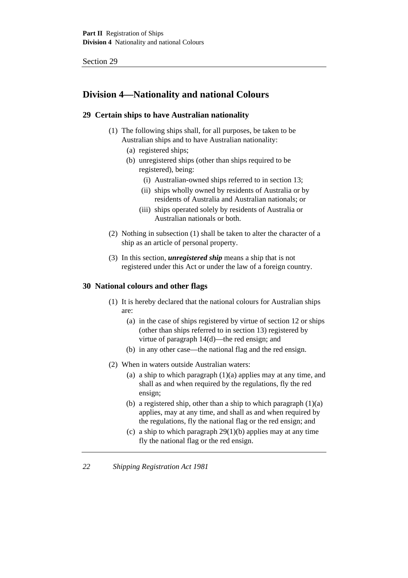# **Division 4—Nationality and national Colours**

#### **29 Certain ships to have Australian nationality**

- (1) The following ships shall, for all purposes, be taken to be Australian ships and to have Australian nationality:
	- (a) registered ships;
	- (b) unregistered ships (other than ships required to be registered), being:
		- (i) Australian-owned ships referred to in section 13;
		- (ii) ships wholly owned by residents of Australia or by residents of Australia and Australian nationals; or
		- (iii) ships operated solely by residents of Australia or Australian nationals or both.
- (2) Nothing in subsection (1) shall be taken to alter the character of a ship as an article of personal property.
- (3) In this section, *unregistered ship* means a ship that is not registered under this Act or under the law of a foreign country.

#### **30 National colours and other flags**

- (1) It is hereby declared that the national colours for Australian ships are:
	- (a) in the case of ships registered by virtue of section 12 or ships (other than ships referred to in section 13) registered by virtue of paragraph 14(d)—the red ensign; and
	- (b) in any other case—the national flag and the red ensign.
- (2) When in waters outside Australian waters:
	- (a) a ship to which paragraph  $(1)(a)$  applies may at any time, and shall as and when required by the regulations, fly the red ensign;
	- (b) a registered ship, other than a ship to which paragraph (1)(a) applies, may at any time, and shall as and when required by the regulations, fly the national flag or the red ensign; and
	- (c) a ship to which paragraph 29(1)(b) applies may at any time fly the national flag or the red ensign.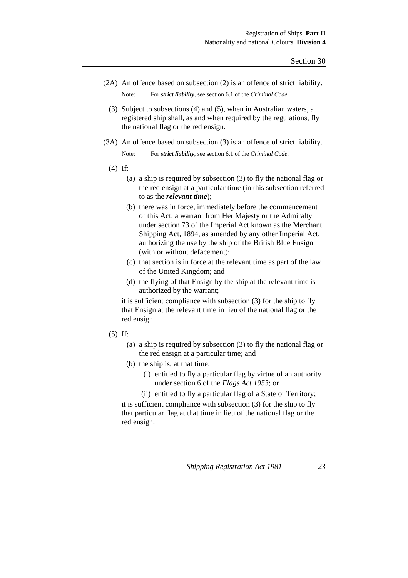(2A) An offence based on subsection (2) is an offence of strict liability.

Note: For *strict liability*, see section 6.1 of the *Criminal Code*.

- (3) Subject to subsections (4) and (5), when in Australian waters, a registered ship shall, as and when required by the regulations, fly the national flag or the red ensign.
- (3A) An offence based on subsection (3) is an offence of strict liability.

Note: For *strict liability*, see section 6.1 of the *Criminal Code*.

- (4) If:
	- (a) a ship is required by subsection (3) to fly the national flag or the red ensign at a particular time (in this subsection referred to as the *relevant time*);
	- (b) there was in force, immediately before the commencement of this Act, a warrant from Her Majesty or the Admiralty under section 73 of the Imperial Act known as the Merchant Shipping Act, 1894, as amended by any other Imperial Act, authorizing the use by the ship of the British Blue Ensign (with or without defacement);
	- (c) that section is in force at the relevant time as part of the law of the United Kingdom; and
	- (d) the flying of that Ensign by the ship at the relevant time is authorized by the warrant;

it is sufficient compliance with subsection (3) for the ship to fly that Ensign at the relevant time in lieu of the national flag or the red ensign.

- (5) If:
	- (a) a ship is required by subsection (3) to fly the national flag or the red ensign at a particular time; and
	- (b) the ship is, at that time:
		- (i) entitled to fly a particular flag by virtue of an authority under section 6 of the *Flags Act 1953*; or

(ii) entitled to fly a particular flag of a State or Territory; it is sufficient compliance with subsection (3) for the ship to fly that particular flag at that time in lieu of the national flag or the red ensign.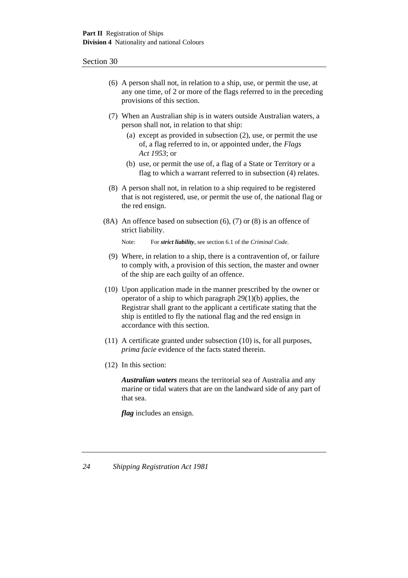- (6) A person shall not, in relation to a ship, use, or permit the use, at any one time, of 2 or more of the flags referred to in the preceding provisions of this section.
- (7) When an Australian ship is in waters outside Australian waters, a person shall not, in relation to that ship:
	- (a) except as provided in subsection (2), use, or permit the use of, a flag referred to in, or appointed under, the *Flags Act 1953*; or
	- (b) use, or permit the use of, a flag of a State or Territory or a flag to which a warrant referred to in subsection (4) relates.
- (8) A person shall not, in relation to a ship required to be registered that is not registered, use, or permit the use of, the national flag or the red ensign.
- $(8A)$  An offence based on subsection  $(6)$ ,  $(7)$  or  $(8)$  is an offence of strict liability.

Note: For *strict liability*, see section 6.1 of the *Criminal Code*.

- (9) Where, in relation to a ship, there is a contravention of, or failure to comply with, a provision of this section, the master and owner of the ship are each guilty of an offence.
- (10) Upon application made in the manner prescribed by the owner or operator of a ship to which paragraph 29(1)(b) applies, the Registrar shall grant to the applicant a certificate stating that the ship is entitled to fly the national flag and the red ensign in accordance with this section.
- (11) A certificate granted under subsection (10) is, for all purposes, *prima facie* evidence of the facts stated therein.
- (12) In this section:

*Australian waters* means the territorial sea of Australia and any marine or tidal waters that are on the landward side of any part of that sea.

*flag* includes an ensign.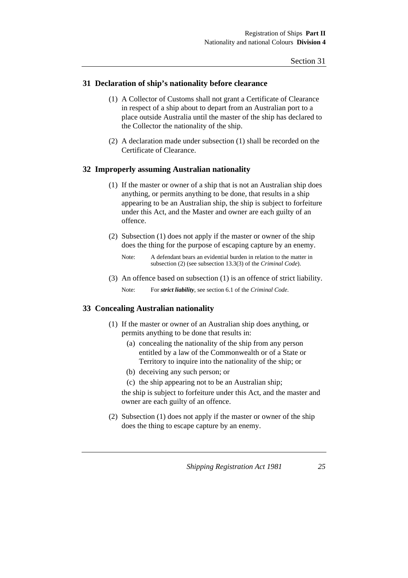#### **31 Declaration of ship's nationality before clearance**

- (1) A Collector of Customs shall not grant a Certificate of Clearance in respect of a ship about to depart from an Australian port to a place outside Australia until the master of the ship has declared to the Collector the nationality of the ship.
- (2) A declaration made under subsection (1) shall be recorded on the Certificate of Clearance.

#### **32 Improperly assuming Australian nationality**

- (1) If the master or owner of a ship that is not an Australian ship does anything, or permits anything to be done, that results in a ship appearing to be an Australian ship, the ship is subject to forfeiture under this Act, and the Master and owner are each guilty of an offence.
- (2) Subsection (1) does not apply if the master or owner of the ship does the thing for the purpose of escaping capture by an enemy.

(3) An offence based on subsection (1) is an offence of strict liability. Note: For *strict liability*, see section 6.1 of the *Criminal Code*.

#### **33 Concealing Australian nationality**

- (1) If the master or owner of an Australian ship does anything, or permits anything to be done that results in:
	- (a) concealing the nationality of the ship from any person entitled by a law of the Commonwealth or of a State or Territory to inquire into the nationality of the ship; or
	- (b) deceiving any such person; or
	- (c) the ship appearing not to be an Australian ship;
	- the ship is subject to forfeiture under this Act, and the master and owner are each guilty of an offence.
- (2) Subsection (1) does not apply if the master or owner of the ship does the thing to escape capture by an enemy.

Note: A defendant bears an evidential burden in relation to the matter in subsection (2) (see subsection 13.3(3) of the *Criminal Code*).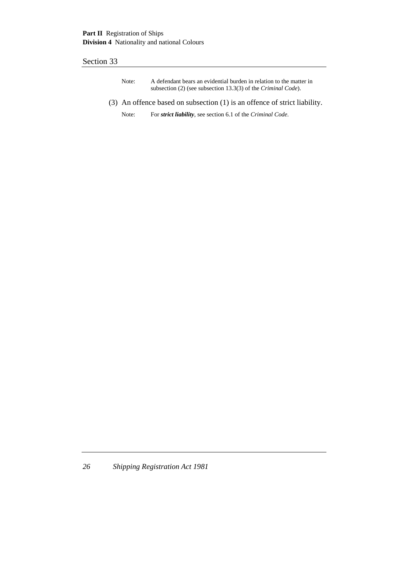| Note: | A defendant bears an evidential burden in relation to the matter in   |  |
|-------|-----------------------------------------------------------------------|--|
|       | subsection (2) (see subsection 13.3(3) of the <i>Criminal Code</i> ). |  |

(3) An offence based on subsection (1) is an offence of strict liability.

Note: For *strict liability*, see section 6.1 of the *Criminal Code*.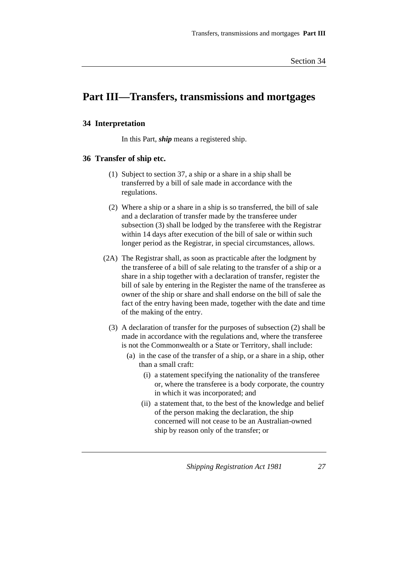# **Part III—Transfers, transmissions and mortgages**

#### **34 Interpretation**

In this Part, *ship* means a registered ship.

#### **36 Transfer of ship etc.**

- (1) Subject to section 37, a ship or a share in a ship shall be transferred by a bill of sale made in accordance with the regulations.
- (2) Where a ship or a share in a ship is so transferred, the bill of sale and a declaration of transfer made by the transferee under subsection (3) shall be lodged by the transferee with the Registrar within 14 days after execution of the bill of sale or within such longer period as the Registrar, in special circumstances, allows.
- (2A) The Registrar shall, as soon as practicable after the lodgment by the transferee of a bill of sale relating to the transfer of a ship or a share in a ship together with a declaration of transfer, register the bill of sale by entering in the Register the name of the transferee as owner of the ship or share and shall endorse on the bill of sale the fact of the entry having been made, together with the date and time of the making of the entry.
	- (3) A declaration of transfer for the purposes of subsection (2) shall be made in accordance with the regulations and, where the transferee is not the Commonwealth or a State or Territory, shall include:
		- (a) in the case of the transfer of a ship, or a share in a ship, other than a small craft:
			- (i) a statement specifying the nationality of the transferee or, where the transferee is a body corporate, the country in which it was incorporated; and
			- (ii) a statement that, to the best of the knowledge and belief of the person making the declaration, the ship concerned will not cease to be an Australian-owned ship by reason only of the transfer; or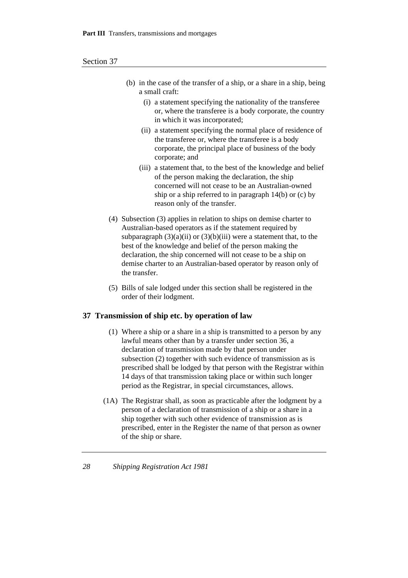- (b) in the case of the transfer of a ship, or a share in a ship, being a small craft:
	- (i) a statement specifying the nationality of the transferee or, where the transferee is a body corporate, the country in which it was incorporated;
	- (ii) a statement specifying the normal place of residence of the transferee or, where the transferee is a body corporate, the principal place of business of the body corporate; and
	- (iii) a statement that, to the best of the knowledge and belief of the person making the declaration, the ship concerned will not cease to be an Australian-owned ship or a ship referred to in paragraph 14(b) or (c) by reason only of the transfer.
- (4) Subsection (3) applies in relation to ships on demise charter to Australian-based operators as if the statement required by subparagraph  $(3)(a)(ii)$  or  $(3)(b)(iii)$  were a statement that, to the best of the knowledge and belief of the person making the declaration, the ship concerned will not cease to be a ship on demise charter to an Australian-based operator by reason only of the transfer.
- (5) Bills of sale lodged under this section shall be registered in the order of their lodgment.

#### **37 Transmission of ship etc. by operation of law**

- (1) Where a ship or a share in a ship is transmitted to a person by any lawful means other than by a transfer under section 36, a declaration of transmission made by that person under subsection (2) together with such evidence of transmission as is prescribed shall be lodged by that person with the Registrar within 14 days of that transmission taking place or within such longer period as the Registrar, in special circumstances, allows.
- (1A) The Registrar shall, as soon as practicable after the lodgment by a person of a declaration of transmission of a ship or a share in a ship together with such other evidence of transmission as is prescribed, enter in the Register the name of that person as owner of the ship or share.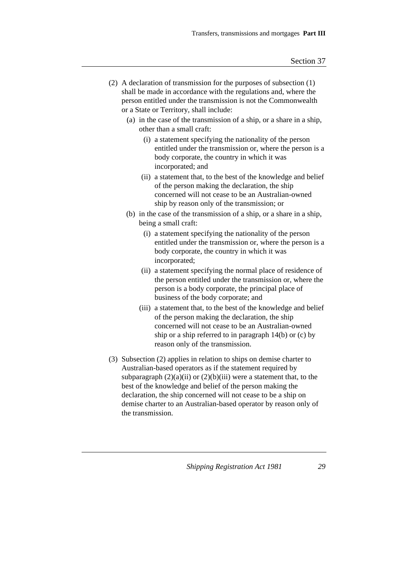- (2) A declaration of transmission for the purposes of subsection (1) shall be made in accordance with the regulations and, where the person entitled under the transmission is not the Commonwealth or a State or Territory, shall include:
	- (a) in the case of the transmission of a ship, or a share in a ship, other than a small craft:
		- (i) a statement specifying the nationality of the person entitled under the transmission or, where the person is a body corporate, the country in which it was incorporated; and
		- (ii) a statement that, to the best of the knowledge and belief of the person making the declaration, the ship concerned will not cease to be an Australian-owned ship by reason only of the transmission; or
	- (b) in the case of the transmission of a ship, or a share in a ship, being a small craft:
		- (i) a statement specifying the nationality of the person entitled under the transmission or, where the person is a body corporate, the country in which it was incorporated;
		- (ii) a statement specifying the normal place of residence of the person entitled under the transmission or, where the person is a body corporate, the principal place of business of the body corporate; and
		- (iii) a statement that, to the best of the knowledge and belief of the person making the declaration, the ship concerned will not cease to be an Australian-owned ship or a ship referred to in paragraph 14(b) or (c) by reason only of the transmission.
- (3) Subsection (2) applies in relation to ships on demise charter to Australian-based operators as if the statement required by subparagraph  $(2)(a)(ii)$  or  $(2)(b)(iii)$  were a statement that, to the best of the knowledge and belief of the person making the declaration, the ship concerned will not cease to be a ship on demise charter to an Australian-based operator by reason only of the transmission.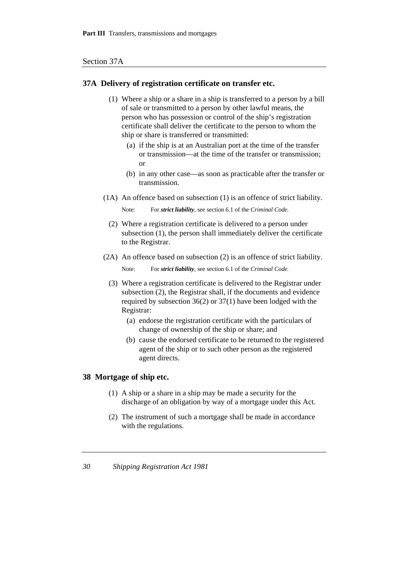#### Section 37A

#### **37A Delivery of registration certificate on transfer etc.**

- (1) Where a ship or a share in a ship is transferred to a person by a bill of sale or transmitted to a person by other lawful means, the person who has possession or control of the ship's registration certificate shall deliver the certificate to the person to whom the ship or share is transferred or transmitted:
	- (a) if the ship is at an Australian port at the time of the transfer or transmission—at the time of the transfer or transmission; or
	- (b) in any other case—as soon as practicable after the transfer or transmission.
- (1A) An offence based on subsection (1) is an offence of strict liability.

Note: For *strict liability*, see section 6.1 of the *Criminal Code.*

- (2) Where a registration certificate is delivered to a person under subsection (1), the person shall immediately deliver the certificate to the Registrar.
- (2A) An offence based on subsection (2) is an offence of strict liability.

```
Note: For strict liability, see section 6.1 of the Criminal Code.
```
- (3) Where a registration certificate is delivered to the Registrar under subsection (2), the Registrar shall, if the documents and evidence required by subsection 36(2) or 37(1) have been lodged with the Registrar:
	- (a) endorse the registration certificate with the particulars of change of ownership of the ship or share; and
	- (b) cause the endorsed certificate to be returned to the registered agent of the ship or to such other person as the registered agent directs.

#### **38 Mortgage of ship etc.**

- (1) A ship or a share in a ship may be made a security for the discharge of an obligation by way of a mortgage under this Act.
- (2) The instrument of such a mortgage shall be made in accordance with the regulations.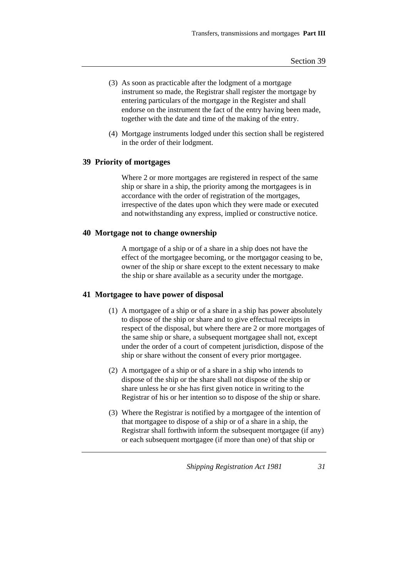- (3) As soon as practicable after the lodgment of a mortgage instrument so made, the Registrar shall register the mortgage by entering particulars of the mortgage in the Register and shall endorse on the instrument the fact of the entry having been made, together with the date and time of the making of the entry.
- (4) Mortgage instruments lodged under this section shall be registered in the order of their lodgment.

### **39 Priority of mortgages**

Where 2 or more mortgages are registered in respect of the same ship or share in a ship, the priority among the mortgagees is in accordance with the order of registration of the mortgages, irrespective of the dates upon which they were made or executed and notwithstanding any express, implied or constructive notice.

#### **40 Mortgage not to change ownership**

A mortgage of a ship or of a share in a ship does not have the effect of the mortgagee becoming, or the mortgagor ceasing to be, owner of the ship or share except to the extent necessary to make the ship or share available as a security under the mortgage.

#### **41 Mortgagee to have power of disposal**

- (1) A mortgagee of a ship or of a share in a ship has power absolutely to dispose of the ship or share and to give effectual receipts in respect of the disposal, but where there are 2 or more mortgages of the same ship or share, a subsequent mortgagee shall not, except under the order of a court of competent jurisdiction, dispose of the ship or share without the consent of every prior mortgagee.
- (2) A mortgagee of a ship or of a share in a ship who intends to dispose of the ship or the share shall not dispose of the ship or share unless he or she has first given notice in writing to the Registrar of his or her intention so to dispose of the ship or share.
- (3) Where the Registrar is notified by a mortgagee of the intention of that mortgagee to dispose of a ship or of a share in a ship, the Registrar shall forthwith inform the subsequent mortgagee (if any) or each subsequent mortgagee (if more than one) of that ship or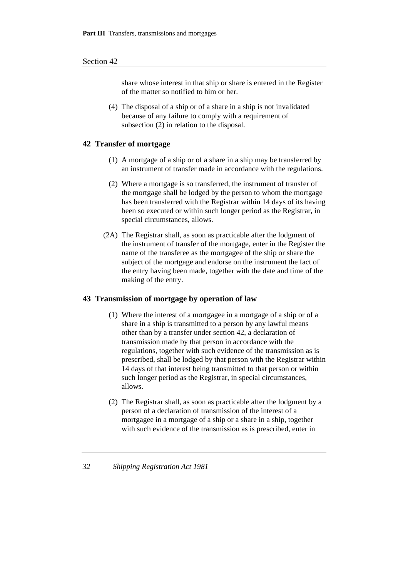share whose interest in that ship or share is entered in the Register of the matter so notified to him or her.

(4) The disposal of a ship or of a share in a ship is not invalidated because of any failure to comply with a requirement of subsection (2) in relation to the disposal.

## **42 Transfer of mortgage**

- (1) A mortgage of a ship or of a share in a ship may be transferred by an instrument of transfer made in accordance with the regulations.
- (2) Where a mortgage is so transferred, the instrument of transfer of the mortgage shall be lodged by the person to whom the mortgage has been transferred with the Registrar within 14 days of its having been so executed or within such longer period as the Registrar, in special circumstances, allows.
- (2A) The Registrar shall, as soon as practicable after the lodgment of the instrument of transfer of the mortgage, enter in the Register the name of the transferee as the mortgagee of the ship or share the subject of the mortgage and endorse on the instrument the fact of the entry having been made, together with the date and time of the making of the entry.

#### **43 Transmission of mortgage by operation of law**

- (1) Where the interest of a mortgagee in a mortgage of a ship or of a share in a ship is transmitted to a person by any lawful means other than by a transfer under section 42, a declaration of transmission made by that person in accordance with the regulations, together with such evidence of the transmission as is prescribed, shall be lodged by that person with the Registrar within 14 days of that interest being transmitted to that person or within such longer period as the Registrar, in special circumstances, allows.
- (2) The Registrar shall, as soon as practicable after the lodgment by a person of a declaration of transmission of the interest of a mortgagee in a mortgage of a ship or a share in a ship, together with such evidence of the transmission as is prescribed, enter in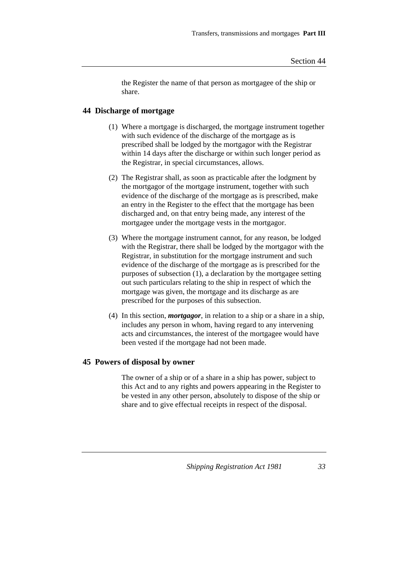the Register the name of that person as mortgagee of the ship or share.

# **44 Discharge of mortgage**

- (1) Where a mortgage is discharged, the mortgage instrument together with such evidence of the discharge of the mortgage as is prescribed shall be lodged by the mortgagor with the Registrar within 14 days after the discharge or within such longer period as the Registrar, in special circumstances, allows.
- (2) The Registrar shall, as soon as practicable after the lodgment by the mortgagor of the mortgage instrument, together with such evidence of the discharge of the mortgage as is prescribed, make an entry in the Register to the effect that the mortgage has been discharged and, on that entry being made, any interest of the mortgagee under the mortgage vests in the mortgagor.
- (3) Where the mortgage instrument cannot, for any reason, be lodged with the Registrar, there shall be lodged by the mortgagor with the Registrar, in substitution for the mortgage instrument and such evidence of the discharge of the mortgage as is prescribed for the purposes of subsection (1), a declaration by the mortgagee setting out such particulars relating to the ship in respect of which the mortgage was given, the mortgage and its discharge as are prescribed for the purposes of this subsection.
- (4) In this section, *mortgagor*, in relation to a ship or a share in a ship, includes any person in whom, having regard to any intervening acts and circumstances, the interest of the mortgagee would have been vested if the mortgage had not been made.

## **45 Powers of disposal by owner**

The owner of a ship or of a share in a ship has power, subject to this Act and to any rights and powers appearing in the Register to be vested in any other person, absolutely to dispose of the ship or share and to give effectual receipts in respect of the disposal.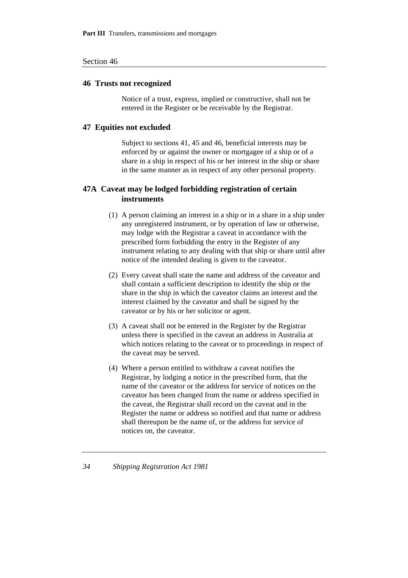#### **46 Trusts not recognized**

Notice of a trust, express, implied or constructive, shall not be entered in the Register or be receivable by the Registrar.

#### **47 Equities not excluded**

Subject to sections 41, 45 and 46, beneficial interests may be enforced by or against the owner or mortgagee of a ship or of a share in a ship in respect of his or her interest in the ship or share in the same manner as in respect of any other personal property.

# **47A Caveat may be lodged forbidding registration of certain instruments**

- (1) A person claiming an interest in a ship or in a share in a ship under any unregistered instrument, or by operation of law or otherwise, may lodge with the Registrar a caveat in accordance with the prescribed form forbidding the entry in the Register of any instrument relating to any dealing with that ship or share until after notice of the intended dealing is given to the caveator.
- (2) Every caveat shall state the name and address of the caveator and shall contain a sufficient description to identify the ship or the share in the ship in which the caveator claims an interest and the interest claimed by the caveator and shall be signed by the caveator or by his or her solicitor or agent.
- (3) A caveat shall not be entered in the Register by the Registrar unless there is specified in the caveat an address in Australia at which notices relating to the caveat or to proceedings in respect of the caveat may be served.
- (4) Where a person entitled to withdraw a caveat notifies the Registrar, by lodging a notice in the prescribed form, that the name of the caveator or the address for service of notices on the caveator has been changed from the name or address specified in the caveat, the Registrar shall record on the caveat and in the Register the name or address so notified and that name or address shall thereupon be the name of, or the address for service of notices on, the caveator.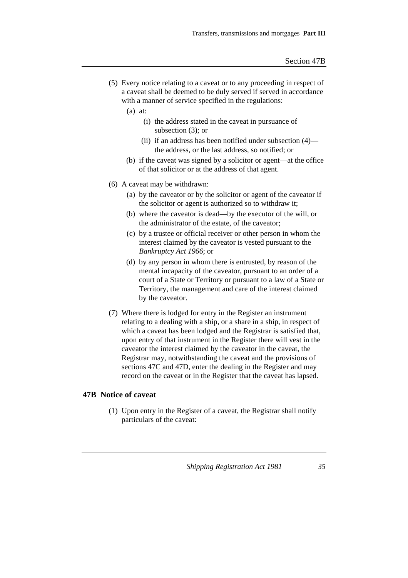- (5) Every notice relating to a caveat or to any proceeding in respect of a caveat shall be deemed to be duly served if served in accordance with a manner of service specified in the regulations:
	- (a) at:
		- (i) the address stated in the caveat in pursuance of subsection (3); or
		- (ii) if an address has been notified under subsection (4) the address, or the last address, so notified; or
	- (b) if the caveat was signed by a solicitor or agent—at the office of that solicitor or at the address of that agent.
- (6) A caveat may be withdrawn:
	- (a) by the caveator or by the solicitor or agent of the caveator if the solicitor or agent is authorized so to withdraw it;
	- (b) where the caveator is dead—by the executor of the will, or the administrator of the estate, of the caveator;
	- (c) by a trustee or official receiver or other person in whom the interest claimed by the caveator is vested pursuant to the *Bankruptcy Act 1966*; or
	- (d) by any person in whom there is entrusted, by reason of the mental incapacity of the caveator, pursuant to an order of a court of a State or Territory or pursuant to a law of a State or Territory, the management and care of the interest claimed by the caveator.
- (7) Where there is lodged for entry in the Register an instrument relating to a dealing with a ship, or a share in a ship, in respect of which a caveat has been lodged and the Registrar is satisfied that, upon entry of that instrument in the Register there will vest in the caveator the interest claimed by the caveator in the caveat, the Registrar may, notwithstanding the caveat and the provisions of sections 47C and 47D, enter the dealing in the Register and may record on the caveat or in the Register that the caveat has lapsed.

## **47B Notice of caveat**

(1) Upon entry in the Register of a caveat, the Registrar shall notify particulars of the caveat: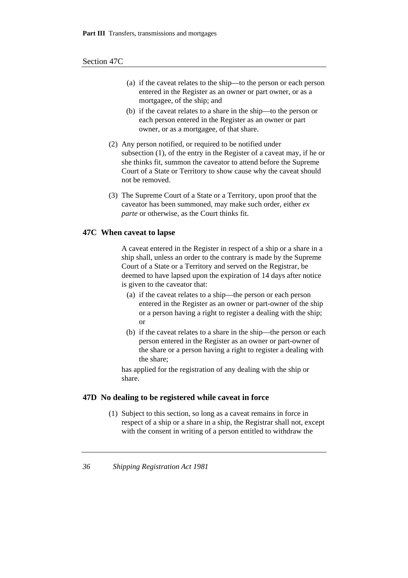## Section 47C

- (a) if the caveat relates to the ship—to the person or each person entered in the Register as an owner or part owner, or as a mortgagee, of the ship; and
- (b) if the caveat relates to a share in the ship—to the person or each person entered in the Register as an owner or part owner, or as a mortgagee, of that share.
- (2) Any person notified, or required to be notified under subsection (1), of the entry in the Register of a caveat may, if he or she thinks fit, summon the caveator to attend before the Supreme Court of a State or Territory to show cause why the caveat should not be removed.
- (3) The Supreme Court of a State or a Territory, upon proof that the caveator has been summoned, may make such order, either *ex parte* or otherwise, as the Court thinks fit.

#### **47C When caveat to lapse**

A caveat entered in the Register in respect of a ship or a share in a ship shall, unless an order to the contrary is made by the Supreme Court of a State or a Territory and served on the Registrar, be deemed to have lapsed upon the expiration of 14 days after notice is given to the caveator that:

- (a) if the caveat relates to a ship—the person or each person entered in the Register as an owner or part-owner of the ship or a person having a right to register a dealing with the ship; or
- (b) if the caveat relates to a share in the ship—the person or each person entered in the Register as an owner or part-owner of the share or a person having a right to register a dealing with the share;

has applied for the registration of any dealing with the ship or share.

#### **47D No dealing to be registered while caveat in force**

(1) Subject to this section, so long as a caveat remains in force in respect of a ship or a share in a ship, the Registrar shall not, except with the consent in writing of a person entitled to withdraw the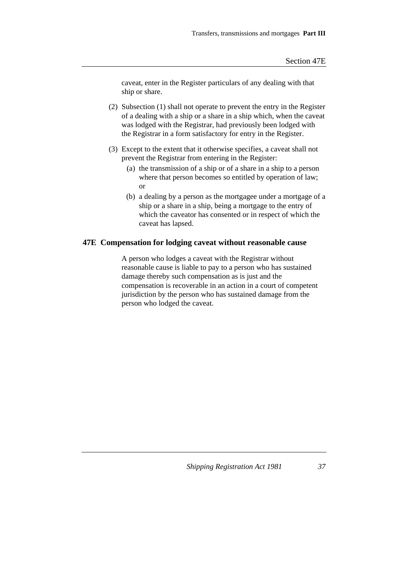caveat, enter in the Register particulars of any dealing with that ship or share.

- (2) Subsection (1) shall not operate to prevent the entry in the Register of a dealing with a ship or a share in a ship which, when the caveat was lodged with the Registrar, had previously been lodged with the Registrar in a form satisfactory for entry in the Register.
- (3) Except to the extent that it otherwise specifies, a caveat shall not prevent the Registrar from entering in the Register:
	- (a) the transmission of a ship or of a share in a ship to a person where that person becomes so entitled by operation of law; or
	- (b) a dealing by a person as the mortgagee under a mortgage of a ship or a share in a ship, being a mortgage to the entry of which the caveator has consented or in respect of which the caveat has lapsed.

## **47E Compensation for lodging caveat without reasonable cause**

A person who lodges a caveat with the Registrar without reasonable cause is liable to pay to a person who has sustained damage thereby such compensation as is just and the compensation is recoverable in an action in a court of competent jurisdiction by the person who has sustained damage from the person who lodged the caveat.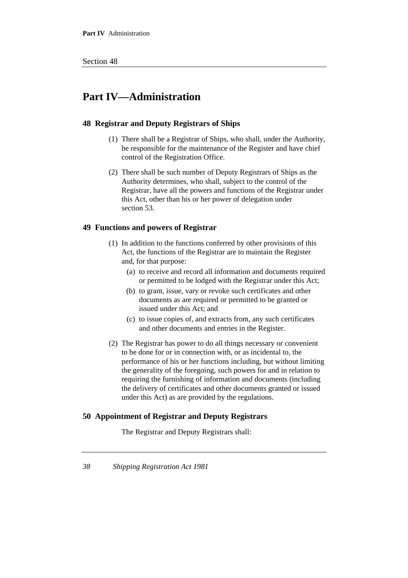# **Part IV—Administration**

## **48 Registrar and Deputy Registrars of Ships**

- (1) There shall be a Registrar of Ships, who shall, under the Authority, be responsible for the maintenance of the Register and have chief control of the Registration Office.
- (2) There shall be such number of Deputy Registrars of Ships as the Authority determines, who shall, subject to the control of the Registrar, have all the powers and functions of the Registrar under this Act, other than his or her power of delegation under section 53.

## **49 Functions and powers of Registrar**

- (1) In addition to the functions conferred by other provisions of this Act, the functions of the Registrar are to maintain the Register and, for that purpose:
	- (a) to receive and record all information and documents required or permitted to be lodged with the Registrar under this Act;
	- (b) to grant, issue, vary or revoke such certificates and other documents as are required or permitted to be granted or issued under this Act; and
	- (c) to issue copies of, and extracts from, any such certificates and other documents and entries in the Register.
- (2) The Registrar has power to do all things necessary or convenient to be done for or in connection with, or as incidental to, the performance of his or her functions including, but without limiting the generality of the foregoing, such powers for and in relation to requiring the furnishing of information and documents (including the delivery of certificates and other documents granted or issued under this Act) as are provided by the regulations.

## **50 Appointment of Registrar and Deputy Registrars**

The Registrar and Deputy Registrars shall: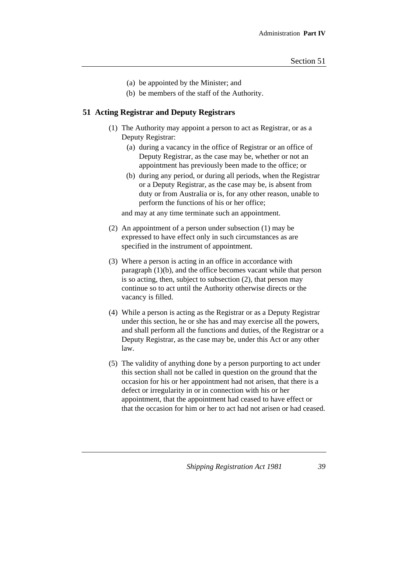- (a) be appointed by the Minister; and
- (b) be members of the staff of the Authority.

## **51 Acting Registrar and Deputy Registrars**

- (1) The Authority may appoint a person to act as Registrar, or as a Deputy Registrar:
	- (a) during a vacancy in the office of Registrar or an office of Deputy Registrar, as the case may be, whether or not an appointment has previously been made to the office; or
	- (b) during any period, or during all periods, when the Registrar or a Deputy Registrar, as the case may be, is absent from duty or from Australia or is, for any other reason, unable to perform the functions of his or her office;

and may at any time terminate such an appointment.

- (2) An appointment of a person under subsection (1) may be expressed to have effect only in such circumstances as are specified in the instrument of appointment.
- (3) Where a person is acting in an office in accordance with paragraph (1)(b), and the office becomes vacant while that person is so acting, then, subject to subsection (2), that person may continue so to act until the Authority otherwise directs or the vacancy is filled.
- (4) While a person is acting as the Registrar or as a Deputy Registrar under this section, he or she has and may exercise all the powers, and shall perform all the functions and duties, of the Registrar or a Deputy Registrar, as the case may be, under this Act or any other law.
- (5) The validity of anything done by a person purporting to act under this section shall not be called in question on the ground that the occasion for his or her appointment had not arisen, that there is a defect or irregularity in or in connection with his or her appointment, that the appointment had ceased to have effect or that the occasion for him or her to act had not arisen or had ceased.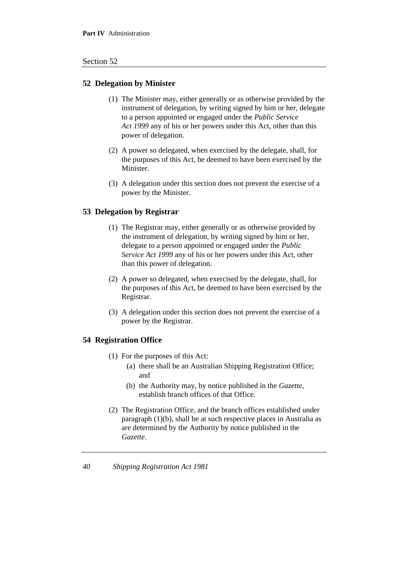## **52 Delegation by Minister**

- (1) The Minister may, either generally or as otherwise provided by the instrument of delegation, by writing signed by him or her, delegate to a person appointed or engaged under the *Public Service Act 1999* any of his or her powers under this Act, other than this power of delegation.
- (2) A power so delegated, when exercised by the delegate, shall, for the purposes of this Act, be deemed to have been exercised by the Minister.
- (3) A delegation under this section does not prevent the exercise of a power by the Minister.

## **53 Delegation by Registrar**

- (1) The Registrar may, either generally or as otherwise provided by the instrument of delegation, by writing signed by him or her, delegate to a person appointed or engaged under the *Public Service Act 1999* any of his or her powers under this Act, other than this power of delegation.
- (2) A power so delegated, when exercised by the delegate, shall, for the purposes of this Act, be deemed to have been exercised by the Registrar.
- (3) A delegation under this section does not prevent the exercise of a power by the Registrar.

## **54 Registration Office**

- (1) For the purposes of this Act:
	- (a) there shall be an Australian Shipping Registration Office; and
	- (b) the Authority may, by notice published in the *Gazette*, establish branch offices of that Office.
- (2) The Registration Office, and the branch offices established under paragraph (1)(b), shall be at such respective places in Australia as are determined by the Authority by notice published in the *Gazette*.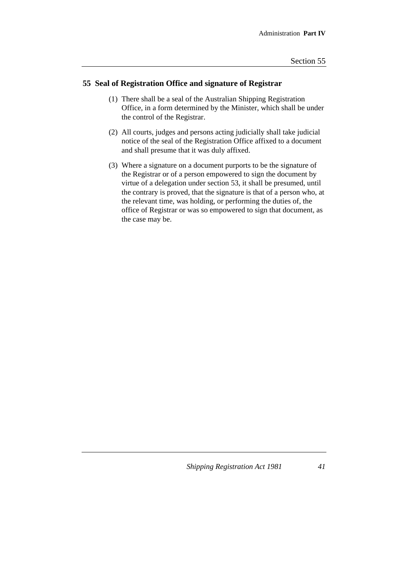## **55 Seal of Registration Office and signature of Registrar**

- (1) There shall be a seal of the Australian Shipping Registration Office, in a form determined by the Minister, which shall be under the control of the Registrar.
- (2) All courts, judges and persons acting judicially shall take judicial notice of the seal of the Registration Office affixed to a document and shall presume that it was duly affixed.
- (3) Where a signature on a document purports to be the signature of the Registrar or of a person empowered to sign the document by virtue of a delegation under section 53, it shall be presumed, until the contrary is proved, that the signature is that of a person who, at the relevant time, was holding, or performing the duties of, the office of Registrar or was so empowered to sign that document, as the case may be.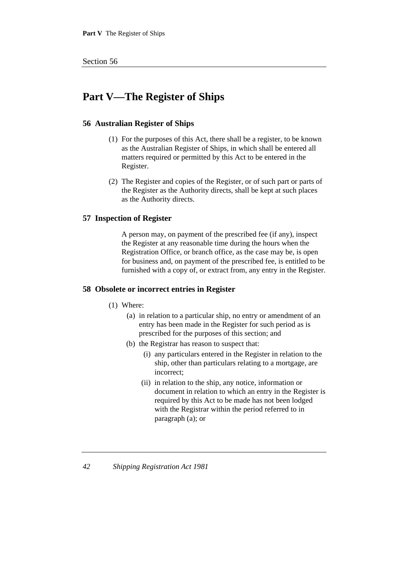# **Part V—The Register of Ships**

## **56 Australian Register of Ships**

- (1) For the purposes of this Act, there shall be a register, to be known as the Australian Register of Ships, in which shall be entered all matters required or permitted by this Act to be entered in the Register.
- (2) The Register and copies of the Register, or of such part or parts of the Register as the Authority directs, shall be kept at such places as the Authority directs.

#### **57 Inspection of Register**

A person may, on payment of the prescribed fee (if any), inspect the Register at any reasonable time during the hours when the Registration Office, or branch office, as the case may be, is open for business and, on payment of the prescribed fee, is entitled to be furnished with a copy of, or extract from, any entry in the Register.

### **58 Obsolete or incorrect entries in Register**

- (1) Where:
	- (a) in relation to a particular ship, no entry or amendment of an entry has been made in the Register for such period as is prescribed for the purposes of this section; and
	- (b) the Registrar has reason to suspect that:
		- (i) any particulars entered in the Register in relation to the ship, other than particulars relating to a mortgage, are incorrect;
		- (ii) in relation to the ship, any notice, information or document in relation to which an entry in the Register is required by this Act to be made has not been lodged with the Registrar within the period referred to in paragraph (a); or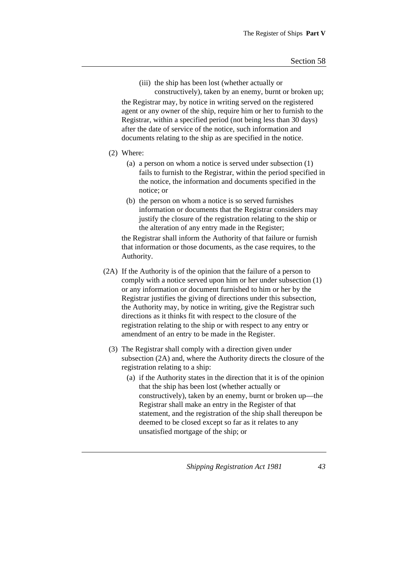(iii) the ship has been lost (whether actually or constructively), taken by an enemy, burnt or broken up;

the Registrar may, by notice in writing served on the registered agent or any owner of the ship, require him or her to furnish to the Registrar, within a specified period (not being less than 30 days) after the date of service of the notice, such information and documents relating to the ship as are specified in the notice.

- (2) Where:
	- (a) a person on whom a notice is served under subsection (1) fails to furnish to the Registrar, within the period specified in the notice, the information and documents specified in the notice; or
	- (b) the person on whom a notice is so served furnishes information or documents that the Registrar considers may justify the closure of the registration relating to the ship or the alteration of any entry made in the Register;

the Registrar shall inform the Authority of that failure or furnish that information or those documents, as the case requires, to the Authority.

- (2A) If the Authority is of the opinion that the failure of a person to comply with a notice served upon him or her under subsection (1) or any information or document furnished to him or her by the Registrar justifies the giving of directions under this subsection, the Authority may, by notice in writing, give the Registrar such directions as it thinks fit with respect to the closure of the registration relating to the ship or with respect to any entry or amendment of an entry to be made in the Register.
	- (3) The Registrar shall comply with a direction given under subsection (2A) and, where the Authority directs the closure of the registration relating to a ship:
		- (a) if the Authority states in the direction that it is of the opinion that the ship has been lost (whether actually or constructively), taken by an enemy, burnt or broken up—the Registrar shall make an entry in the Register of that statement, and the registration of the ship shall thereupon be deemed to be closed except so far as it relates to any unsatisfied mortgage of the ship; or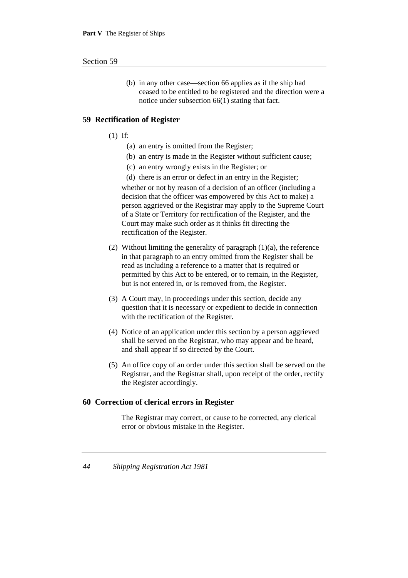(b) in any other case—section 66 applies as if the ship had ceased to be entitled to be registered and the direction were a notice under subsection 66(1) stating that fact.

## **59 Rectification of Register**

- (1) If:
	- (a) an entry is omitted from the Register;
	- (b) an entry is made in the Register without sufficient cause;
	- (c) an entry wrongly exists in the Register; or

(d) there is an error or defect in an entry in the Register; whether or not by reason of a decision of an officer (including a decision that the officer was empowered by this Act to make) a person aggrieved or the Registrar may apply to the Supreme Court of a State or Territory for rectification of the Register, and the Court may make such order as it thinks fit directing the rectification of the Register.

- (2) Without limiting the generality of paragraph  $(1)(a)$ , the reference in that paragraph to an entry omitted from the Register shall be read as including a reference to a matter that is required or permitted by this Act to be entered, or to remain, in the Register, but is not entered in, or is removed from, the Register.
- (3) A Court may, in proceedings under this section, decide any question that it is necessary or expedient to decide in connection with the rectification of the Register.
- (4) Notice of an application under this section by a person aggrieved shall be served on the Registrar, who may appear and be heard, and shall appear if so directed by the Court.
- (5) An office copy of an order under this section shall be served on the Registrar, and the Registrar shall, upon receipt of the order, rectify the Register accordingly.

## **60 Correction of clerical errors in Register**

The Registrar may correct, or cause to be corrected, any clerical error or obvious mistake in the Register.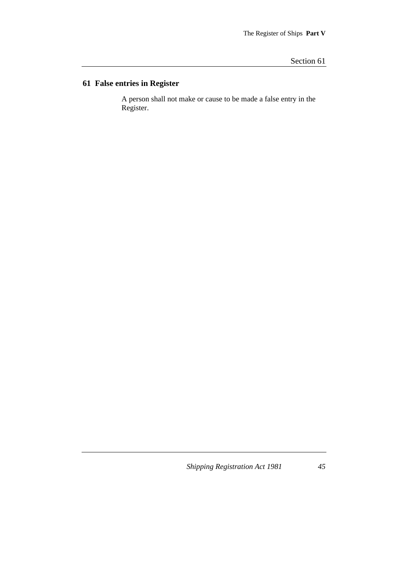# **61 False entries in Register**

A person shall not make or cause to be made a false entry in the Register.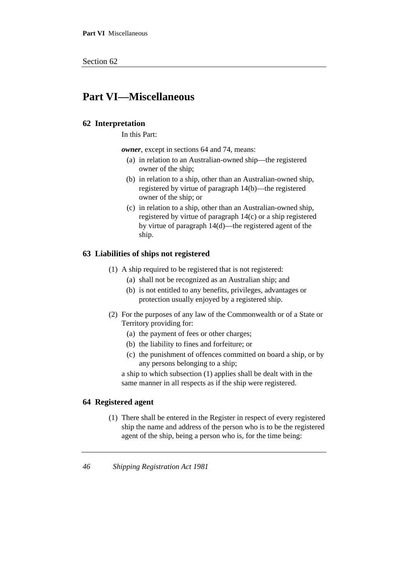# **Part VI—Miscellaneous**

## **62 Interpretation**

In this Part:

*owner*, except in sections 64 and 74, means:

- (a) in relation to an Australian-owned ship—the registered owner of the ship;
- (b) in relation to a ship, other than an Australian-owned ship, registered by virtue of paragraph 14(b)—the registered owner of the ship; or
- (c) in relation to a ship, other than an Australian-owned ship, registered by virtue of paragraph 14(c) or a ship registered by virtue of paragraph 14(d)—the registered agent of the ship.

## **63 Liabilities of ships not registered**

- (1) A ship required to be registered that is not registered:
	- (a) shall not be recognized as an Australian ship; and
	- (b) is not entitled to any benefits, privileges, advantages or protection usually enjoyed by a registered ship.
- (2) For the purposes of any law of the Commonwealth or of a State or Territory providing for:
	- (a) the payment of fees or other charges;
	- (b) the liability to fines and forfeiture; or
	- (c) the punishment of offences committed on board a ship, or by any persons belonging to a ship;

a ship to which subsection (1) applies shall be dealt with in the same manner in all respects as if the ship were registered.

## **64 Registered agent**

(1) There shall be entered in the Register in respect of every registered ship the name and address of the person who is to be the registered agent of the ship, being a person who is, for the time being: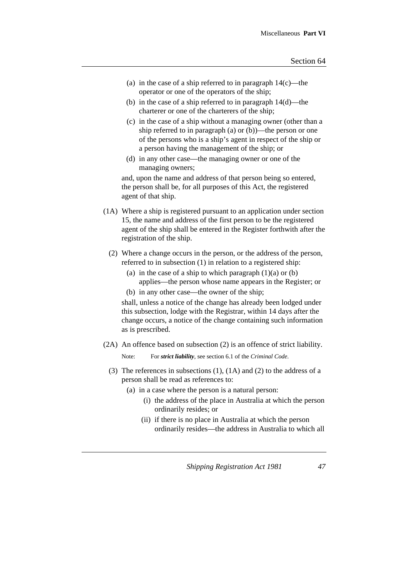- (a) in the case of a ship referred to in paragraph  $14(c)$ —the operator or one of the operators of the ship;
- (b) in the case of a ship referred to in paragraph 14(d)—the charterer or one of the charterers of the ship;
- (c) in the case of a ship without a managing owner (other than a ship referred to in paragraph (a) or (b))—the person or one of the persons who is a ship's agent in respect of the ship or a person having the management of the ship; or
- (d) in any other case—the managing owner or one of the managing owners;

and, upon the name and address of that person being so entered, the person shall be, for all purposes of this Act, the registered agent of that ship.

- (1A) Where a ship is registered pursuant to an application under section 15, the name and address of the first person to be the registered agent of the ship shall be entered in the Register forthwith after the registration of the ship.
	- (2) Where a change occurs in the person, or the address of the person, referred to in subsection (1) in relation to a registered ship:
		- (a) in the case of a ship to which paragraph  $(1)(a)$  or  $(b)$ applies—the person whose name appears in the Register; or
		- (b) in any other case—the owner of the ship;

shall, unless a notice of the change has already been lodged under this subsection, lodge with the Registrar, within 14 days after the change occurs, a notice of the change containing such information as is prescribed.

(2A) An offence based on subsection (2) is an offence of strict liability.

Note: For *strict liability*, see section 6.1 of the *Criminal Code*.

- (3) The references in subsections (1), (1A) and (2) to the address of a person shall be read as references to:
	- (a) in a case where the person is a natural person:
		- (i) the address of the place in Australia at which the person ordinarily resides; or
		- (ii) if there is no place in Australia at which the person ordinarily resides—the address in Australia to which all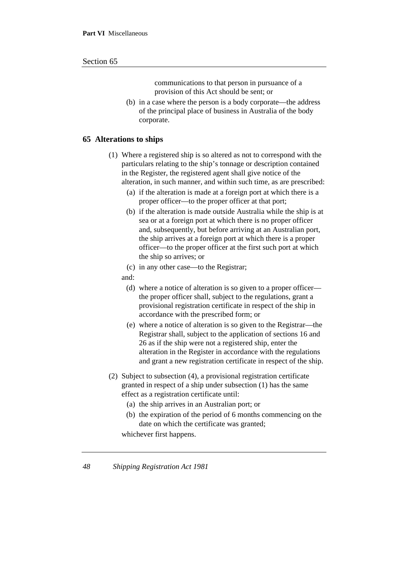communications to that person in pursuance of a provision of this Act should be sent; or

(b) in a case where the person is a body corporate—the address of the principal place of business in Australia of the body corporate.

### **65 Alterations to ships**

- (1) Where a registered ship is so altered as not to correspond with the particulars relating to the ship's tonnage or description contained in the Register, the registered agent shall give notice of the alteration, in such manner, and within such time, as are prescribed:
	- (a) if the alteration is made at a foreign port at which there is a proper officer—to the proper officer at that port;
	- (b) if the alteration is made outside Australia while the ship is at sea or at a foreign port at which there is no proper officer and, subsequently, but before arriving at an Australian port, the ship arrives at a foreign port at which there is a proper officer—to the proper officer at the first such port at which the ship so arrives; or
	- (c) in any other case—to the Registrar;
	- and:
		- (d) where a notice of alteration is so given to a proper officer the proper officer shall, subject to the regulations, grant a provisional registration certificate in respect of the ship in accordance with the prescribed form; or
		- (e) where a notice of alteration is so given to the Registrar—the Registrar shall, subject to the application of sections 16 and 26 as if the ship were not a registered ship, enter the alteration in the Register in accordance with the regulations and grant a new registration certificate in respect of the ship.
- (2) Subject to subsection (4), a provisional registration certificate granted in respect of a ship under subsection (1) has the same effect as a registration certificate until:
	- (a) the ship arrives in an Australian port; or
	- (b) the expiration of the period of 6 months commencing on the date on which the certificate was granted;
	- whichever first happens.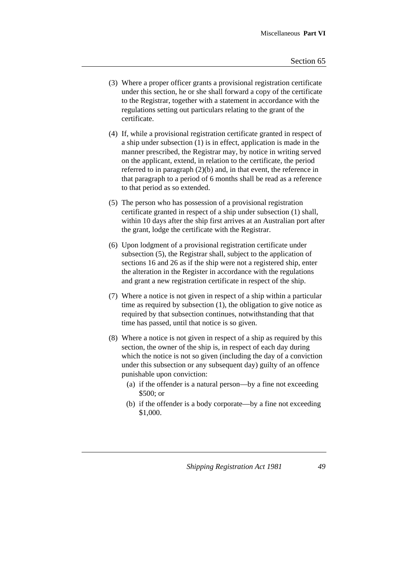- (3) Where a proper officer grants a provisional registration certificate under this section, he or she shall forward a copy of the certificate to the Registrar, together with a statement in accordance with the regulations setting out particulars relating to the grant of the certificate.
- (4) If, while a provisional registration certificate granted in respect of a ship under subsection (1) is in effect, application is made in the manner prescribed, the Registrar may, by notice in writing served on the applicant, extend, in relation to the certificate, the period referred to in paragraph (2)(b) and, in that event, the reference in that paragraph to a period of 6 months shall be read as a reference to that period as so extended.
- (5) The person who has possession of a provisional registration certificate granted in respect of a ship under subsection (1) shall, within 10 days after the ship first arrives at an Australian port after the grant, lodge the certificate with the Registrar.
- (6) Upon lodgment of a provisional registration certificate under subsection (5), the Registrar shall, subject to the application of sections 16 and 26 as if the ship were not a registered ship, enter the alteration in the Register in accordance with the regulations and grant a new registration certificate in respect of the ship.
- (7) Where a notice is not given in respect of a ship within a particular time as required by subsection (1), the obligation to give notice as required by that subsection continues, notwithstanding that that time has passed, until that notice is so given.
- (8) Where a notice is not given in respect of a ship as required by this section, the owner of the ship is, in respect of each day during which the notice is not so given (including the day of a conviction under this subsection or any subsequent day) guilty of an offence punishable upon conviction:
	- (a) if the offender is a natural person—by a fine not exceeding \$500; or
	- (b) if the offender is a body corporate—by a fine not exceeding \$1,000.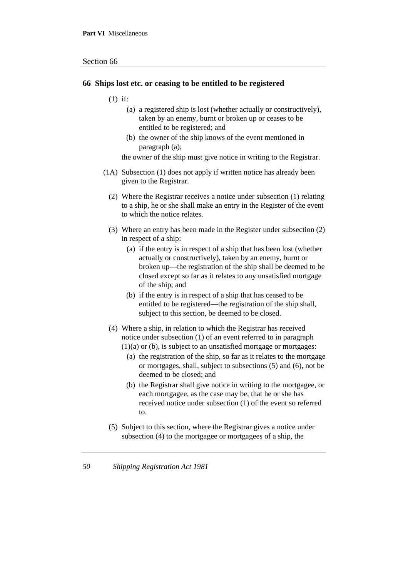#### **66 Ships lost etc. or ceasing to be entitled to be registered**

(1) if:

- (a) a registered ship is lost (whether actually or constructively), taken by an enemy, burnt or broken up or ceases to be entitled to be registered; and
- (b) the owner of the ship knows of the event mentioned in paragraph (a);

the owner of the ship must give notice in writing to the Registrar.

- (1A) Subsection (1) does not apply if written notice has already been given to the Registrar.
	- (2) Where the Registrar receives a notice under subsection (1) relating to a ship, he or she shall make an entry in the Register of the event to which the notice relates.
	- (3) Where an entry has been made in the Register under subsection (2) in respect of a ship:
		- (a) if the entry is in respect of a ship that has been lost (whether actually or constructively), taken by an enemy, burnt or broken up—the registration of the ship shall be deemed to be closed except so far as it relates to any unsatisfied mortgage of the ship; and
		- (b) if the entry is in respect of a ship that has ceased to be entitled to be registered—the registration of the ship shall, subject to this section, be deemed to be closed.
	- (4) Where a ship, in relation to which the Registrar has received notice under subsection (1) of an event referred to in paragraph (1)(a) or (b), is subject to an unsatisfied mortgage or mortgages:
		- (a) the registration of the ship, so far as it relates to the mortgage or mortgages, shall, subject to subsections (5) and (6), not be deemed to be closed; and
		- (b) the Registrar shall give notice in writing to the mortgagee, or each mortgagee, as the case may be, that he or she has received notice under subsection (1) of the event so referred to.
	- (5) Subject to this section, where the Registrar gives a notice under subsection (4) to the mortgagee or mortgagees of a ship, the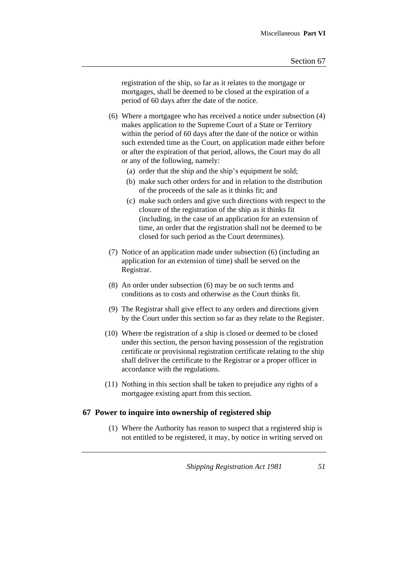registration of the ship, so far as it relates to the mortgage or mortgages, shall be deemed to be closed at the expiration of a period of 60 days after the date of the notice.

(6) Where a mortgagee who has received a notice under subsection (4) makes application to the Supreme Court of a State or Territory within the period of 60 days after the date of the notice or within such extended time as the Court, on application made either before or after the expiration of that period, allows, the Court may do all or any of the following, namely:

- (a) order that the ship and the ship's equipment be sold;
- (b) make such other orders for and in relation to the distribution of the proceeds of the sale as it thinks fit; and
- (c) make such orders and give such directions with respect to the closure of the registration of the ship as it thinks fit (including, in the case of an application for an extension of time, an order that the registration shall not be deemed to be closed for such period as the Court determines).
- (7) Notice of an application made under subsection (6) (including an application for an extension of time) shall be served on the Registrar.
- (8) An order under subsection (6) may be on such terms and conditions as to costs and otherwise as the Court thinks fit.
- (9) The Registrar shall give effect to any orders and directions given by the Court under this section so far as they relate to the Register.
- (10) Where the registration of a ship is closed or deemed to be closed under this section, the person having possession of the registration certificate or provisional registration certificate relating to the ship shall deliver the certificate to the Registrar or a proper officer in accordance with the regulations.
- (11) Nothing in this section shall be taken to prejudice any rights of a mortgagee existing apart from this section.

## **67 Power to inquire into ownership of registered ship**

(1) Where the Authority has reason to suspect that a registered ship is not entitled to be registered, it may, by notice in writing served on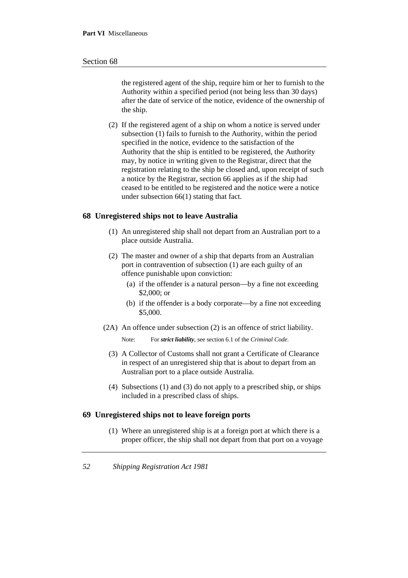the registered agent of the ship, require him or her to furnish to the Authority within a specified period (not being less than 30 days) after the date of service of the notice, evidence of the ownership of the ship.

(2) If the registered agent of a ship on whom a notice is served under subsection (1) fails to furnish to the Authority, within the period specified in the notice, evidence to the satisfaction of the Authority that the ship is entitled to be registered, the Authority may, by notice in writing given to the Registrar, direct that the registration relating to the ship be closed and, upon receipt of such a notice by the Registrar, section 66 applies as if the ship had ceased to be entitled to be registered and the notice were a notice under subsection 66(1) stating that fact.

## **68 Unregistered ships not to leave Australia**

- (1) An unregistered ship shall not depart from an Australian port to a place outside Australia.
- (2) The master and owner of a ship that departs from an Australian port in contravention of subsection (1) are each guilty of an offence punishable upon conviction:
	- (a) if the offender is a natural person—by a fine not exceeding \$2,000; or
	- (b) if the offender is a body corporate—by a fine not exceeding \$5,000.
- (2A) An offence under subsection (2) is an offence of strict liability.

Note: For *strict liability*, see section 6.1 of the *Criminal Code*.

- (3) A Collector of Customs shall not grant a Certificate of Clearance in respect of an unregistered ship that is about to depart from an Australian port to a place outside Australia.
- (4) Subsections (1) and (3) do not apply to a prescribed ship, or ships included in a prescribed class of ships.

#### **69 Unregistered ships not to leave foreign ports**

(1) Where an unregistered ship is at a foreign port at which there is a proper officer, the ship shall not depart from that port on a voyage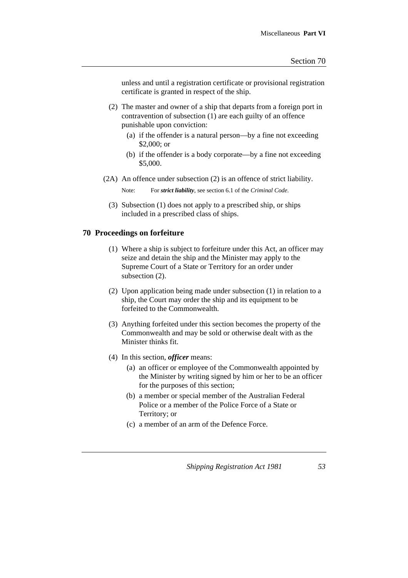unless and until a registration certificate or provisional registration certificate is granted in respect of the ship.

- (2) The master and owner of a ship that departs from a foreign port in contravention of subsection (1) are each guilty of an offence punishable upon conviction:
	- (a) if the offender is a natural person—by a fine not exceeding \$2,000; or
	- (b) if the offender is a body corporate—by a fine not exceeding \$5,000.
- (2A) An offence under subsection (2) is an offence of strict liability.

Note: For *strict liability*, see section 6.1 of the *Criminal Code*.

(3) Subsection (1) does not apply to a prescribed ship, or ships included in a prescribed class of ships.

#### **70 Proceedings on forfeiture**

- (1) Where a ship is subject to forfeiture under this Act, an officer may seize and detain the ship and the Minister may apply to the Supreme Court of a State or Territory for an order under subsection (2).
- (2) Upon application being made under subsection (1) in relation to a ship, the Court may order the ship and its equipment to be forfeited to the Commonwealth.
- (3) Anything forfeited under this section becomes the property of the Commonwealth and may be sold or otherwise dealt with as the Minister thinks fit.
- (4) In this section, *officer* means:
	- (a) an officer or employee of the Commonwealth appointed by the Minister by writing signed by him or her to be an officer for the purposes of this section;
	- (b) a member or special member of the Australian Federal Police or a member of the Police Force of a State or Territory; or
	- (c) a member of an arm of the Defence Force.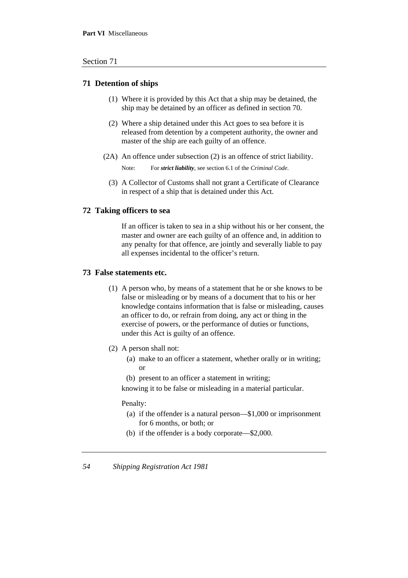## **71 Detention of ships**

- (1) Where it is provided by this Act that a ship may be detained, the ship may be detained by an officer as defined in section 70.
- (2) Where a ship detained under this Act goes to sea before it is released from detention by a competent authority, the owner and master of the ship are each guilty of an offence.
- (2A) An offence under subsection (2) is an offence of strict liability.

Note: For *strict liability*, see section 6.1 of the *Criminal Code*.

(3) A Collector of Customs shall not grant a Certificate of Clearance in respect of a ship that is detained under this Act.

## **72 Taking officers to sea**

If an officer is taken to sea in a ship without his or her consent, the master and owner are each guilty of an offence and, in addition to any penalty for that offence, are jointly and severally liable to pay all expenses incidental to the officer's return.

## **73 False statements etc.**

- (1) A person who, by means of a statement that he or she knows to be false or misleading or by means of a document that to his or her knowledge contains information that is false or misleading, causes an officer to do, or refrain from doing, any act or thing in the exercise of powers, or the performance of duties or functions, under this Act is guilty of an offence.
- (2) A person shall not:
	- (a) make to an officer a statement, whether orally or in writing; or
	- (b) present to an officer a statement in writing;

knowing it to be false or misleading in a material particular.

#### Penalty:

- (a) if the offender is a natural person—\$1,000 or imprisonment for 6 months, or both; or
- (b) if the offender is a body corporate—\$2,000.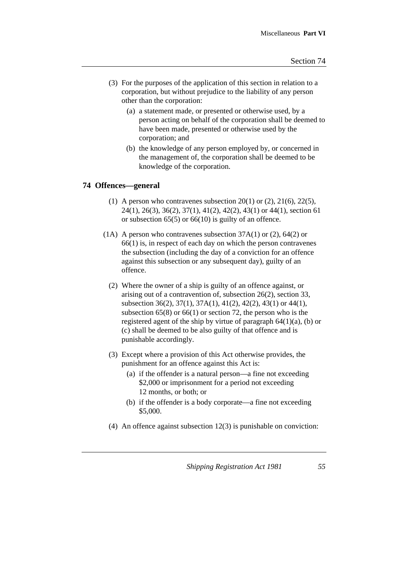- (3) For the purposes of the application of this section in relation to a corporation, but without prejudice to the liability of any person other than the corporation:
	- (a) a statement made, or presented or otherwise used, by a person acting on behalf of the corporation shall be deemed to have been made, presented or otherwise used by the corporation; and
	- (b) the knowledge of any person employed by, or concerned in the management of, the corporation shall be deemed to be knowledge of the corporation.

## **74 Offences—general**

- (1) A person who contravenes subsection  $20(1)$  or  $(2)$ ,  $21(6)$ ,  $22(5)$ , 24(1), 26(3), 36(2), 37(1), 41(2), 42(2), 43(1) or 44(1), section 61 or subsection 65(5) or 66(10) is guilty of an offence.
- $(1A)$  A person who contravenes subsection 37A(1) or (2), 64(2) or 66(1) is, in respect of each day on which the person contravenes the subsection (including the day of a conviction for an offence against this subsection or any subsequent day), guilty of an offence.
	- (2) Where the owner of a ship is guilty of an offence against, or arising out of a contravention of, subsection 26(2), section 33, subsection 36(2), 37(1), 37A(1), 41(2), 42(2), 43(1) or 44(1), subsection 65(8) or 66(1) or section 72, the person who is the registered agent of the ship by virtue of paragraph  $64(1)(a)$ , (b) or (c) shall be deemed to be also guilty of that offence and is punishable accordingly.
	- (3) Except where a provision of this Act otherwise provides, the punishment for an offence against this Act is:
		- (a) if the offender is a natural person—a fine not exceeding \$2,000 or imprisonment for a period not exceeding 12 months, or both; or
		- (b) if the offender is a body corporate—a fine not exceeding \$5,000.
	- (4) An offence against subsection 12(3) is punishable on conviction: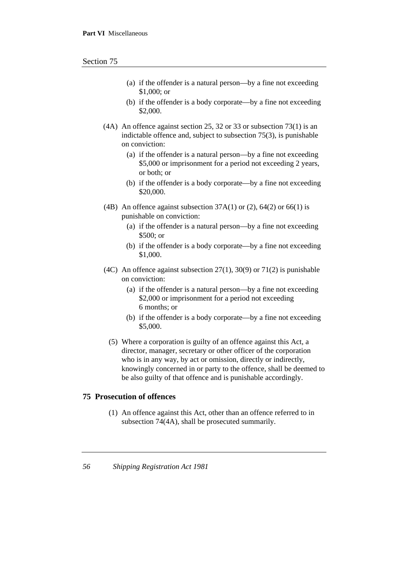- (a) if the offender is a natural person—by a fine not exceeding \$1,000; or
- (b) if the offender is a body corporate—by a fine not exceeding \$2,000.
- (4A) An offence against section 25, 32 or 33 or subsection 73(1) is an indictable offence and, subject to subsection 75(3), is punishable on conviction:
	- (a) if the offender is a natural person—by a fine not exceeding \$5,000 or imprisonment for a period not exceeding 2 years, or both; or
	- (b) if the offender is a body corporate—by a fine not exceeding \$20,000.
- (4B) An offence against subsection  $37A(1)$  or (2),  $64(2)$  or  $66(1)$  is punishable on conviction:
	- (a) if the offender is a natural person—by a fine not exceeding \$500; or
	- (b) if the offender is a body corporate—by a fine not exceeding \$1,000.
- (4C) An offence against subsection 27(1), 30(9) or 71(2) is punishable on conviction:
	- (a) if the offender is a natural person—by a fine not exceeding \$2,000 or imprisonment for a period not exceeding 6 months; or
	- (b) if the offender is a body corporate—by a fine not exceeding \$5,000.
	- (5) Where a corporation is guilty of an offence against this Act, a director, manager, secretary or other officer of the corporation who is in any way, by act or omission, directly or indirectly, knowingly concerned in or party to the offence, shall be deemed to be also guilty of that offence and is punishable accordingly.

### **75 Prosecution of offences**

(1) An offence against this Act, other than an offence referred to in subsection 74(4A), shall be prosecuted summarily.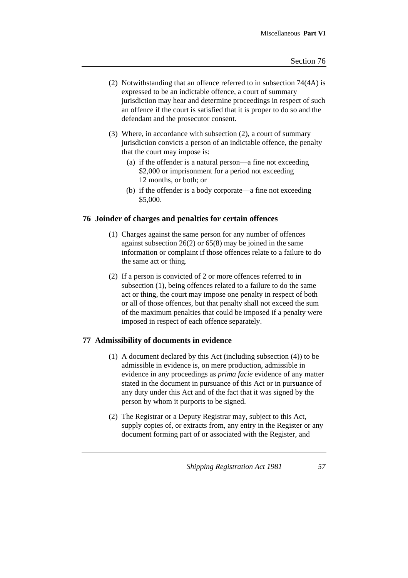- (2) Notwithstanding that an offence referred to in subsection 74(4A) is expressed to be an indictable offence, a court of summary jurisdiction may hear and determine proceedings in respect of such an offence if the court is satisfied that it is proper to do so and the defendant and the prosecutor consent.
- (3) Where, in accordance with subsection (2), a court of summary jurisdiction convicts a person of an indictable offence, the penalty that the court may impose is:
	- (a) if the offender is a natural person—a fine not exceeding \$2,000 or imprisonment for a period not exceeding 12 months, or both; or
	- (b) if the offender is a body corporate—a fine not exceeding \$5,000.

## **76 Joinder of charges and penalties for certain offences**

- (1) Charges against the same person for any number of offences against subsection 26(2) or 65(8) may be joined in the same information or complaint if those offences relate to a failure to do the same act or thing.
- (2) If a person is convicted of 2 or more offences referred to in subsection (1), being offences related to a failure to do the same act or thing, the court may impose one penalty in respect of both or all of those offences, but that penalty shall not exceed the sum of the maximum penalties that could be imposed if a penalty were imposed in respect of each offence separately.

## **77 Admissibility of documents in evidence**

- (1) A document declared by this Act (including subsection (4)) to be admissible in evidence is, on mere production, admissible in evidence in any proceedings as *prima facie* evidence of any matter stated in the document in pursuance of this Act or in pursuance of any duty under this Act and of the fact that it was signed by the person by whom it purports to be signed.
- (2) The Registrar or a Deputy Registrar may, subject to this Act, supply copies of, or extracts from, any entry in the Register or any document forming part of or associated with the Register, and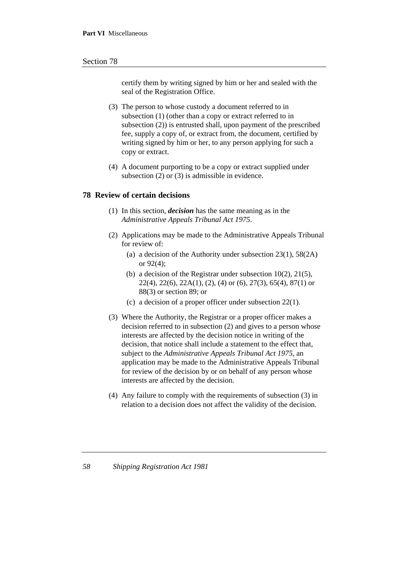certify them by writing signed by him or her and sealed with the seal of the Registration Office.

- (3) The person to whose custody a document referred to in subsection (1) (other than a copy or extract referred to in subsection (2)) is entrusted shall, upon payment of the prescribed fee, supply a copy of, or extract from, the document, certified by writing signed by him or her, to any person applying for such a copy or extract.
- (4) A document purporting to be a copy or extract supplied under subsection (2) or (3) is admissible in evidence.

#### **78 Review of certain decisions**

- (1) In this section, *decision* has the same meaning as in the *Administrative Appeals Tribunal Act 1975*.
- (2) Applications may be made to the Administrative Appeals Tribunal for review of:
	- (a) a decision of the Authority under subsection 23(1), 58(2A) or 92(4);
	- (b) a decision of the Registrar under subsection 10(2), 21(5), 22(4), 22(6), 22A(1), (2), (4) or (6), 27(3), 65(4), 87(1) or 88(3) or section 89; or
	- (c) a decision of a proper officer under subsection 22(1).
- (3) Where the Authority, the Registrar or a proper officer makes a decision referred to in subsection (2) and gives to a person whose interests are affected by the decision notice in writing of the decision, that notice shall include a statement to the effect that, subject to the *Administrative Appeals Tribunal Act 1975*, an application may be made to the Administrative Appeals Tribunal for review of the decision by or on behalf of any person whose interests are affected by the decision.
- (4) Any failure to comply with the requirements of subsection (3) in relation to a decision does not affect the validity of the decision.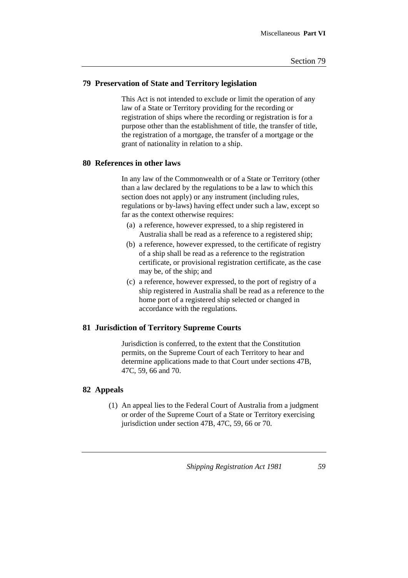## **79 Preservation of State and Territory legislation**

This Act is not intended to exclude or limit the operation of any law of a State or Territory providing for the recording or registration of ships where the recording or registration is for a purpose other than the establishment of title, the transfer of title, the registration of a mortgage, the transfer of a mortgage or the grant of nationality in relation to a ship.

## **80 References in other laws**

In any law of the Commonwealth or of a State or Territory (other than a law declared by the regulations to be a law to which this section does not apply) or any instrument (including rules, regulations or by-laws) having effect under such a law, except so far as the context otherwise requires:

- (a) a reference, however expressed, to a ship registered in Australia shall be read as a reference to a registered ship;
- (b) a reference, however expressed, to the certificate of registry of a ship shall be read as a reference to the registration certificate, or provisional registration certificate, as the case may be, of the ship; and
- (c) a reference, however expressed, to the port of registry of a ship registered in Australia shall be read as a reference to the home port of a registered ship selected or changed in accordance with the regulations.

## **81 Jurisdiction of Territory Supreme Courts**

Jurisdiction is conferred, to the extent that the Constitution permits, on the Supreme Court of each Territory to hear and determine applications made to that Court under sections 47B, 47C, 59, 66 and 70.

## **82 Appeals**

(1) An appeal lies to the Federal Court of Australia from a judgment or order of the Supreme Court of a State or Territory exercising jurisdiction under section 47B, 47C, 59, 66 or 70.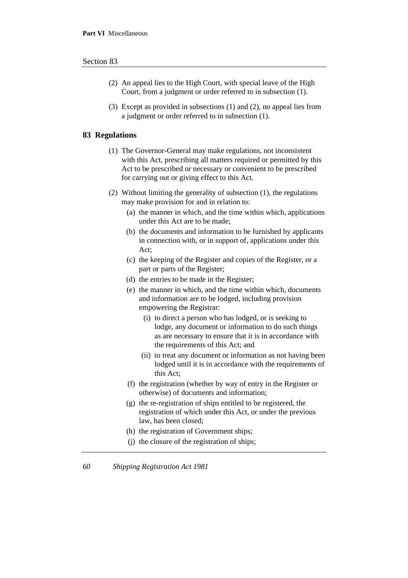- (2) An appeal lies to the High Court, with special leave of the High Court, from a judgment or order referred to in subsection (1).
- (3) Except as provided in subsections (1) and (2), no appeal lies from a judgment or order referred to in subsection (1).

#### **83 Regulations**

- (1) The Governor-General may make regulations, not inconsistent with this Act, prescribing all matters required or permitted by this Act to be prescribed or necessary or convenient to be prescribed for carrying out or giving effect to this Act.
- (2) Without limiting the generality of subsection (1), the regulations may make provision for and in relation to:
	- (a) the manner in which, and the time within which, applications under this Act are to be made;
	- (b) the documents and information to be furnished by applicants in connection with, or in support of, applications under this Act;
	- (c) the keeping of the Register and copies of the Register, or a part or parts of the Register;
	- (d) the entries to be made in the Register;
	- (e) the manner in which, and the time within which, documents and information are to be lodged, including provision empowering the Registrar:
		- (i) to direct a person who has lodged, or is seeking to lodge, any document or information to do such things as are necessary to ensure that it is in accordance with the requirements of this Act; and
		- (ii) to treat any document or information as not having been lodged until it is in accordance with the requirements of this Act;
	- (f) the registration (whether by way of entry in the Register or otherwise) of documents and information;
	- (g) the re-registration of ships entitled to be registered, the registration of which under this Act, or under the previous law, has been closed;
	- (h) the registration of Government ships;
	- (j) the closure of the registration of ships;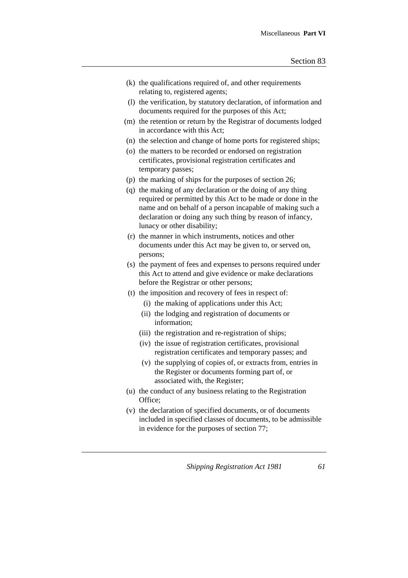- (k) the qualifications required of, and other requirements relating to, registered agents;
- (l) the verification, by statutory declaration, of information and documents required for the purposes of this Act;
- (m) the retention or return by the Registrar of documents lodged in accordance with this Act;
- (n) the selection and change of home ports for registered ships;
- (o) the matters to be recorded or endorsed on registration certificates, provisional registration certificates and temporary passes;
- (p) the marking of ships for the purposes of section 26;
- (q) the making of any declaration or the doing of any thing required or permitted by this Act to be made or done in the name and on behalf of a person incapable of making such a declaration or doing any such thing by reason of infancy, lunacy or other disability;
- (r) the manner in which instruments, notices and other documents under this Act may be given to, or served on, persons;
- (s) the payment of fees and expenses to persons required under this Act to attend and give evidence or make declarations before the Registrar or other persons;
- (t) the imposition and recovery of fees in respect of:
	- (i) the making of applications under this Act;
	- (ii) the lodging and registration of documents or information;
	- (iii) the registration and re-registration of ships;
	- (iv) the issue of registration certificates, provisional registration certificates and temporary passes; and
	- (v) the supplying of copies of, or extracts from, entries in the Register or documents forming part of, or associated with, the Register;
- (u) the conduct of any business relating to the Registration Office;
- (v) the declaration of specified documents, or of documents included in specified classes of documents, to be admissible in evidence for the purposes of section 77;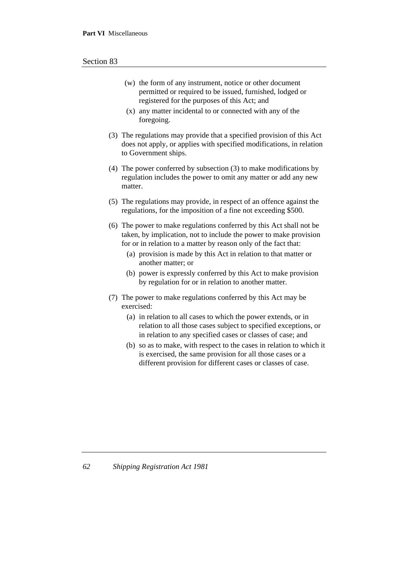| (w) the form of any instrument, notice or other document |
|----------------------------------------------------------|
| permitted or required to be issued, furnished, lodged or |
| registered for the purposes of this Act; and             |

- (x) any matter incidental to or connected with any of the foregoing.
- (3) The regulations may provide that a specified provision of this Act does not apply, or applies with specified modifications, in relation to Government ships.
- (4) The power conferred by subsection (3) to make modifications by regulation includes the power to omit any matter or add any new matter.
- (5) The regulations may provide, in respect of an offence against the regulations, for the imposition of a fine not exceeding \$500.
- (6) The power to make regulations conferred by this Act shall not be taken, by implication, not to include the power to make provision for or in relation to a matter by reason only of the fact that:
	- (a) provision is made by this Act in relation to that matter or another matter; or
	- (b) power is expressly conferred by this Act to make provision by regulation for or in relation to another matter.
- (7) The power to make regulations conferred by this Act may be exercised:
	- (a) in relation to all cases to which the power extends, or in relation to all those cases subject to specified exceptions, or in relation to any specified cases or classes of case; and
	- (b) so as to make, with respect to the cases in relation to which it is exercised, the same provision for all those cases or a different provision for different cases or classes of case.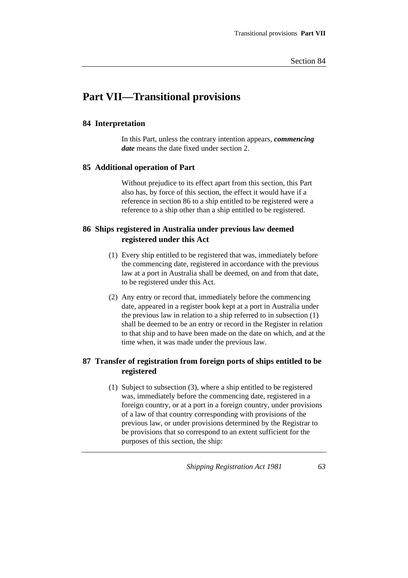# **Part VII—Transitional provisions**

# **84 Interpretation**

In this Part, unless the contrary intention appears, *commencing date* means the date fixed under section 2.

# **85 Additional operation of Part**

Without prejudice to its effect apart from this section, this Part also has, by force of this section, the effect it would have if a reference in section 86 to a ship entitled to be registered were a reference to a ship other than a ship entitled to be registered.

# **86 Ships registered in Australia under previous law deemed registered under this Act**

- (1) Every ship entitled to be registered that was, immediately before the commencing date, registered in accordance with the previous law at a port in Australia shall be deemed, on and from that date, to be registered under this Act.
- (2) Any entry or record that, immediately before the commencing date, appeared in a register book kept at a port in Australia under the previous law in relation to a ship referred to in subsection (1) shall be deemed to be an entry or record in the Register in relation to that ship and to have been made on the date on which, and at the time when, it was made under the previous law.

# **87 Transfer of registration from foreign ports of ships entitled to be registered**

(1) Subject to subsection (3), where a ship entitled to be registered was, immediately before the commencing date, registered in a foreign country, or at a port in a foreign country, under provisions of a law of that country corresponding with provisions of the previous law, or under provisions determined by the Registrar to be provisions that so correspond to an extent sufficient for the purposes of this section, the ship: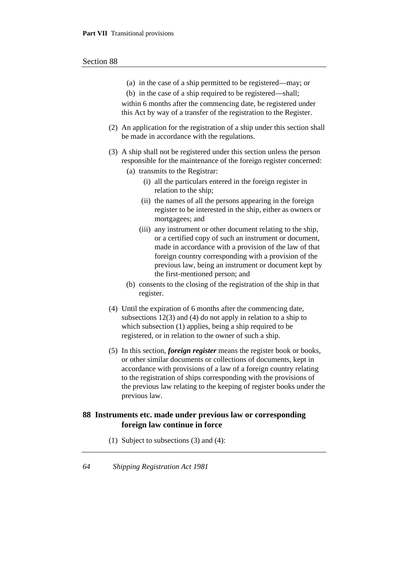| (a) in the case of a ship permitted to be registered—may; or<br>(b) in the case of a ship required to be registered—shall;<br>within 6 months after the commencing date, be registered under<br>this Act by way of a transfer of the registration to the Register.                                                                    |
|---------------------------------------------------------------------------------------------------------------------------------------------------------------------------------------------------------------------------------------------------------------------------------------------------------------------------------------|
| (2) An application for the registration of a ship under this section shall<br>be made in accordance with the regulations.                                                                                                                                                                                                             |
| (3) A ship shall not be registered under this section unless the person<br>responsible for the maintenance of the foreign register concerned:<br>(a) transmits to the Registrar:                                                                                                                                                      |
| (i) all the particulars entered in the foreign register in<br>relation to the ship;                                                                                                                                                                                                                                                   |
| (ii) the names of all the persons appearing in the foreign<br>register to be interested in the ship, either as owners or<br>mortgagees; and                                                                                                                                                                                           |
| (iii) any instrument or other document relating to the ship,<br>or a certified copy of such an instrument or document,<br>made in accordance with a provision of the law of that<br>foreign country corresponding with a provision of the<br>previous law, being an instrument or document kept by<br>the first-mentioned person; and |
| (b) consents to the closing of the registration of the ship in that<br>register.                                                                                                                                                                                                                                                      |
| (4) Until the expiration of 6 months after the commencing date,<br>subsections $12(3)$ and (4) do not apply in relation to a ship to<br>which subsection (1) applies, being a ship required to be                                                                                                                                     |

(5) In this section, *foreign register* means the register book or books, or other similar documents or collections of documents, kept in accordance with provisions of a law of a foreign country relating to the registration of ships corresponding with the provisions of the previous law relating to the keeping of register books under the previous law.

# **88 Instruments etc. made under previous law or corresponding foreign law continue in force**

registered, or in relation to the owner of such a ship.

(1) Subject to subsections (3) and (4):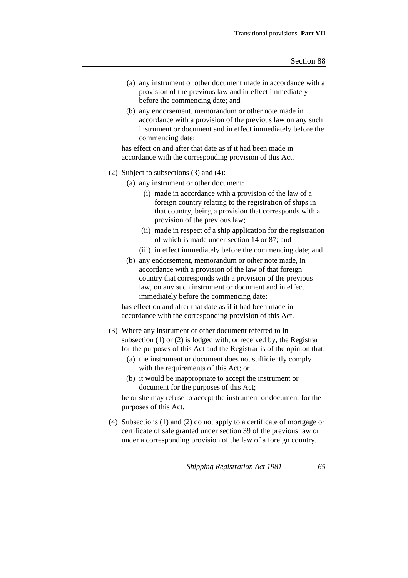- (a) any instrument or other document made in accordance with a provision of the previous law and in effect immediately before the commencing date; and
- (b) any endorsement, memorandum or other note made in accordance with a provision of the previous law on any such instrument or document and in effect immediately before the commencing date;

has effect on and after that date as if it had been made in accordance with the corresponding provision of this Act.

- (2) Subject to subsections (3) and (4):
	- (a) any instrument or other document:
		- (i) made in accordance with a provision of the law of a foreign country relating to the registration of ships in that country, being a provision that corresponds with a provision of the previous law;
		- (ii) made in respect of a ship application for the registration of which is made under section 14 or 87; and
		- (iii) in effect immediately before the commencing date; and
	- (b) any endorsement, memorandum or other note made, in accordance with a provision of the law of that foreign country that corresponds with a provision of the previous law, on any such instrument or document and in effect immediately before the commencing date;

has effect on and after that date as if it had been made in accordance with the corresponding provision of this Act.

- (3) Where any instrument or other document referred to in subsection (1) or (2) is lodged with, or received by, the Registrar for the purposes of this Act and the Registrar is of the opinion that:
	- (a) the instrument or document does not sufficiently comply with the requirements of this Act; or
	- (b) it would be inappropriate to accept the instrument or document for the purposes of this Act;

he or she may refuse to accept the instrument or document for the purposes of this Act.

(4) Subsections (1) and (2) do not apply to a certificate of mortgage or certificate of sale granted under section 39 of the previous law or under a corresponding provision of the law of a foreign country.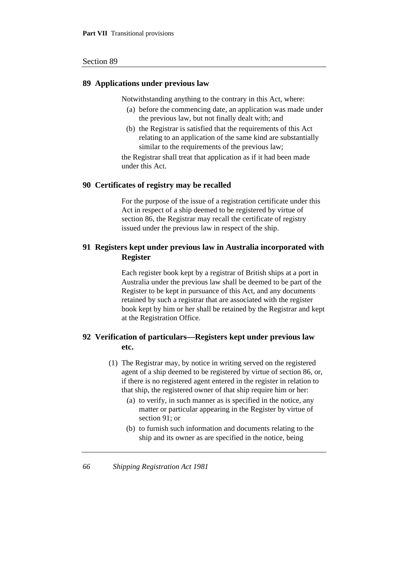#### **89 Applications under previous law**

Notwithstanding anything to the contrary in this Act, where:

- (a) before the commencing date, an application was made under the previous law, but not finally dealt with; and
- (b) the Registrar is satisfied that the requirements of this Act relating to an application of the same kind are substantially similar to the requirements of the previous law;

the Registrar shall treat that application as if it had been made under this Act.

#### **90 Certificates of registry may be recalled**

For the purpose of the issue of a registration certificate under this Act in respect of a ship deemed to be registered by virtue of section 86, the Registrar may recall the certificate of registry issued under the previous law in respect of the ship.

# **91 Registers kept under previous law in Australia incorporated with Register**

Each register book kept by a registrar of British ships at a port in Australia under the previous law shall be deemed to be part of the Register to be kept in pursuance of this Act, and any documents retained by such a registrar that are associated with the register book kept by him or her shall be retained by the Registrar and kept at the Registration Office.

# **92 Verification of particulars—Registers kept under previous law etc.**

- (1) The Registrar may, by notice in writing served on the registered agent of a ship deemed to be registered by virtue of section 86, or, if there is no registered agent entered in the register in relation to that ship, the registered owner of that ship require him or her:
	- (a) to verify, in such manner as is specified in the notice, any matter or particular appearing in the Register by virtue of section 91; or
	- (b) to furnish such information and documents relating to the ship and its owner as are specified in the notice, being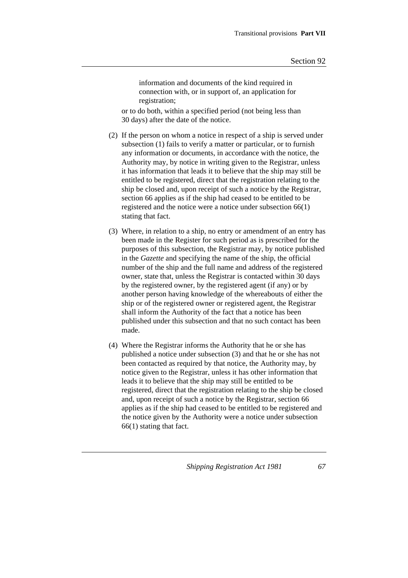information and documents of the kind required in connection with, or in support of, an application for registration;

or to do both, within a specified period (not being less than 30 days) after the date of the notice.

- (2) If the person on whom a notice in respect of a ship is served under subsection (1) fails to verify a matter or particular, or to furnish any information or documents, in accordance with the notice, the Authority may, by notice in writing given to the Registrar, unless it has information that leads it to believe that the ship may still be entitled to be registered, direct that the registration relating to the ship be closed and, upon receipt of such a notice by the Registrar, section 66 applies as if the ship had ceased to be entitled to be registered and the notice were a notice under subsection 66(1) stating that fact.
- (3) Where, in relation to a ship, no entry or amendment of an entry has been made in the Register for such period as is prescribed for the purposes of this subsection, the Registrar may, by notice published in the *Gazette* and specifying the name of the ship, the official number of the ship and the full name and address of the registered owner, state that, unless the Registrar is contacted within 30 days by the registered owner, by the registered agent (if any) or by another person having knowledge of the whereabouts of either the ship or of the registered owner or registered agent, the Registrar shall inform the Authority of the fact that a notice has been published under this subsection and that no such contact has been made.
- (4) Where the Registrar informs the Authority that he or she has published a notice under subsection (3) and that he or she has not been contacted as required by that notice, the Authority may, by notice given to the Registrar, unless it has other information that leads it to believe that the ship may still be entitled to be registered, direct that the registration relating to the ship be closed and, upon receipt of such a notice by the Registrar, section 66 applies as if the ship had ceased to be entitled to be registered and the notice given by the Authority were a notice under subsection 66(1) stating that fact.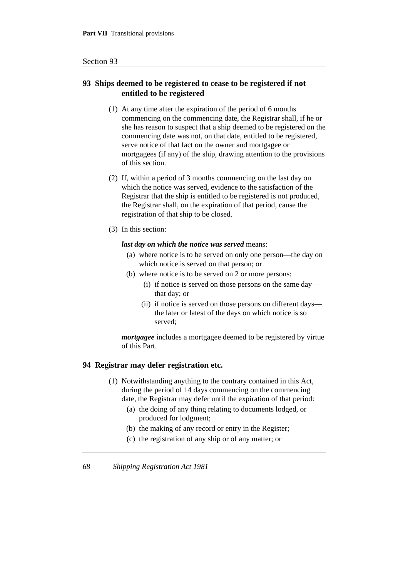#### Section 93

# **93 Ships deemed to be registered to cease to be registered if not entitled to be registered**

- (1) At any time after the expiration of the period of 6 months commencing on the commencing date, the Registrar shall, if he or she has reason to suspect that a ship deemed to be registered on the commencing date was not, on that date, entitled to be registered, serve notice of that fact on the owner and mortgagee or mortgagees (if any) of the ship, drawing attention to the provisions of this section.
- (2) If, within a period of 3 months commencing on the last day on which the notice was served, evidence to the satisfaction of the Registrar that the ship is entitled to be registered is not produced, the Registrar shall, on the expiration of that period, cause the registration of that ship to be closed.
- (3) In this section:

#### *last day on which the notice was served* means:

- (a) where notice is to be served on only one person—the day on which notice is served on that person; or
- (b) where notice is to be served on 2 or more persons:
	- (i) if notice is served on those persons on the same day that day; or
	- (ii) if notice is served on those persons on different days the later or latest of the days on which notice is so served;

*mortgagee* includes a mortgagee deemed to be registered by virtue of this Part.

### **94 Registrar may defer registration etc.**

- (1) Notwithstanding anything to the contrary contained in this Act, during the period of 14 days commencing on the commencing date, the Registrar may defer until the expiration of that period:
	- (a) the doing of any thing relating to documents lodged, or produced for lodgment;
	- (b) the making of any record or entry in the Register;
	- (c) the registration of any ship or of any matter; or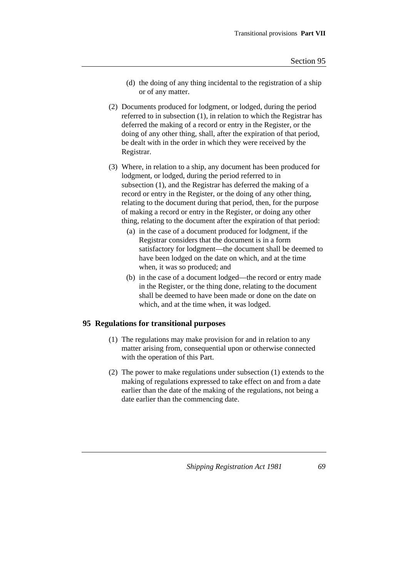- (d) the doing of any thing incidental to the registration of a ship or of any matter.
- (2) Documents produced for lodgment, or lodged, during the period referred to in subsection (1), in relation to which the Registrar has deferred the making of a record or entry in the Register, or the doing of any other thing, shall, after the expiration of that period, be dealt with in the order in which they were received by the Registrar.
- (3) Where, in relation to a ship, any document has been produced for lodgment, or lodged, during the period referred to in subsection (1), and the Registrar has deferred the making of a record or entry in the Register, or the doing of any other thing, relating to the document during that period, then, for the purpose of making a record or entry in the Register, or doing any other thing, relating to the document after the expiration of that period:
	- (a) in the case of a document produced for lodgment, if the Registrar considers that the document is in a form satisfactory for lodgment—the document shall be deemed to have been lodged on the date on which, and at the time when, it was so produced; and
	- (b) in the case of a document lodged—the record or entry made in the Register, or the thing done, relating to the document shall be deemed to have been made or done on the date on which, and at the time when, it was lodged.

## **95 Regulations for transitional purposes**

- (1) The regulations may make provision for and in relation to any matter arising from, consequential upon or otherwise connected with the operation of this Part.
- (2) The power to make regulations under subsection (1) extends to the making of regulations expressed to take effect on and from a date earlier than the date of the making of the regulations, not being a date earlier than the commencing date.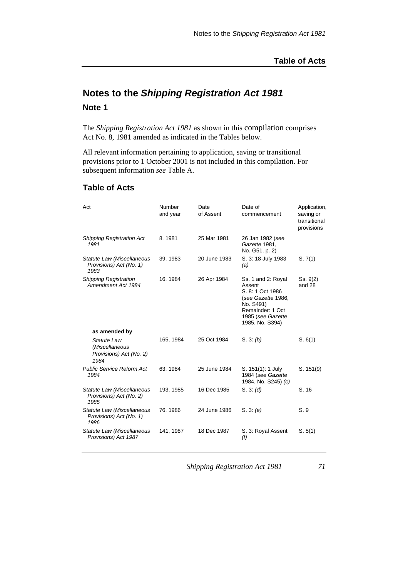# **Notes to the Shipping Registration Act 1981 Note 1**

The *Shipping Registration Act 1981* as shown in this compilation comprises Act No. 8, 1981 amended as indicated in the Tables below.

All relevant information pertaining to application, saving or transitional provisions prior to 1 October 2001 is not included in this compilation. For subsequent information *see* Table A.

| Act                                                                     | Number<br>and year | Date<br>of Assent | Date of<br>commencement                                                                                                                         | Application,<br>saving or<br>transitional<br>provisions |
|-------------------------------------------------------------------------|--------------------|-------------------|-------------------------------------------------------------------------------------------------------------------------------------------------|---------------------------------------------------------|
| <b>Shipping Registration Act</b><br>1981                                | 8, 1981            | 25 Mar 1981       | 26 Jan 1982 (see<br>Gazette 1981,<br>No. G51, p. 2)                                                                                             |                                                         |
| Statute Law (Miscellaneous<br>Provisions) Act (No. 1)<br>1983           | 39, 1983           | 20 June 1983      | S. 3: 18 July 1983<br>(a)                                                                                                                       | S. 7(1)                                                 |
| <b>Shipping Registration</b><br>Amendment Act 1984                      | 16, 1984           | 26 Apr 1984       | Ss. 1 and 2: Royal<br>Assent<br>S. 8: 1 Oct 1986<br>(see Gazette 1986,<br>No. S491)<br>Remainder: 1 Oct<br>1985 (see Gazette<br>1985, No. S394) | Ss. 9(2)<br>and 28                                      |
| as amended by                                                           |                    |                   |                                                                                                                                                 |                                                         |
| <b>Statute Law</b><br>(Miscellaneous<br>Provisions) Act (No. 2)<br>1984 | 165, 1984          | 25 Oct 1984       | S. 3: (b)                                                                                                                                       | S. 6(1)                                                 |
| <b>Public Service Reform Act</b><br>1984                                | 63, 1984           | 25 June 1984      | S. 151(1): 1 July<br>1984 (see Gazette<br>1984, No. S245) (c)                                                                                   | S. 151(9)                                               |
| Statute Law (Miscellaneous<br>Provisions) Act (No. 2)<br>1985           | 193, 1985          | 16 Dec 1985       | S. 3: (d)                                                                                                                                       | S. 16                                                   |
| Statute Law (Miscellaneous<br>Provisions) Act (No. 1)<br>1986           | 76, 1986           | 24 June 1986      | S. 3: (e)                                                                                                                                       | S.9                                                     |
| Statute Law (Miscellaneous<br>Provisions) Act 1987                      | 141, 1987          | 18 Dec 1987       | S. 3: Royal Assent<br>(f)                                                                                                                       | S. 5(1)                                                 |

# **Table of Acts**

*Shipping Registration Act 1981 71*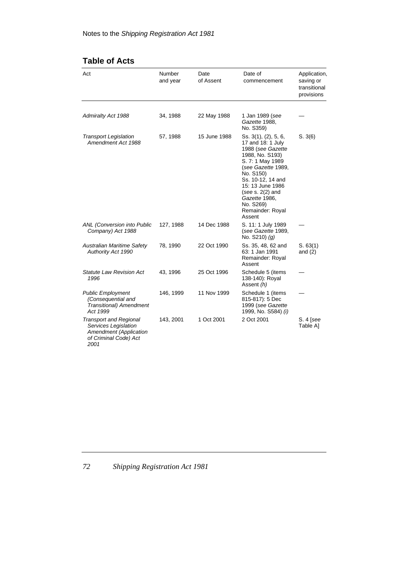| Act                                                                                                                     | Number<br>and year | Date<br>of Assent | Date of<br>commencement                                                                                                                                                                                                                                             | Application,<br>saving or<br>transitional<br>provisions |
|-------------------------------------------------------------------------------------------------------------------------|--------------------|-------------------|---------------------------------------------------------------------------------------------------------------------------------------------------------------------------------------------------------------------------------------------------------------------|---------------------------------------------------------|
| Admiralty Act 1988                                                                                                      | 34, 1988           | 22 May 1988       | 1 Jan 1989 (see<br>Gazette 1988.<br>No. S359)                                                                                                                                                                                                                       |                                                         |
| <b>Transport Legislation</b><br>Amendment Act 1988                                                                      | 57, 1988           | 15 June 1988      | Ss. 3(1), (2), 5, 6,<br>17 and 18: 1 July<br>1988 (see Gazette<br>1988, No. S193)<br>S. 7: 1 May 1989<br>(see Gazette 1989,<br>No. S150)<br>Ss. 10-12, 14 and<br>15: 13 June 1986<br>(see s. $2(2)$ and<br>Gazette 1986,<br>No. S269)<br>Remainder: Royal<br>Assent | S. 3(6)                                                 |
| <b>ANL (Conversion into Public</b><br>Company) Act 1988                                                                 | 127, 1988          | 14 Dec 1988       | S. 11: 1 July 1989<br>(see Gazette 1989,<br>No. $S210$ ) (g)                                                                                                                                                                                                        |                                                         |
| <b>Australian Maritime Safety</b><br>Authority Act 1990                                                                 | 78, 1990           | 22 Oct 1990       | Ss. 35, 48, 62 and<br>63: 1 Jan 1991<br>Remainder: Royal<br>Assent                                                                                                                                                                                                  | S. 63(1)<br>and $(2)$                                   |
| <b>Statute Law Revision Act</b><br>1996                                                                                 | 43, 1996           | 25 Oct 1996       | Schedule 5 (items<br>138-140): Royal<br>Assent (h)                                                                                                                                                                                                                  |                                                         |
| <b>Public Employment</b><br>(Consequential and<br><b>Transitional</b> ) Amendment<br>Act 1999                           | 146, 1999          | 11 Nov 1999       | Schedule 1 (items<br>815-817): 5 Dec<br>1999 (see Gazette<br>1999, No. S584) (i)                                                                                                                                                                                    |                                                         |
| <b>Transport and Regional</b><br>Services Legislation<br><b>Amendment (Application</b><br>of Criminal Code) Act<br>2001 | 143, 2001          | 1 Oct 2001        | 2 Oct 2001                                                                                                                                                                                                                                                          | $S.4$ [see<br>Table A]                                  |

# **Table of Acts**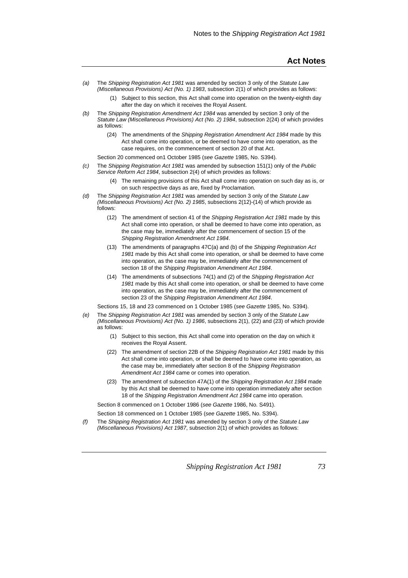#### **Act Notes**

- (a) The Shipping Registration Act 1981 was amended by section 3 only of the Statute Law (Miscellaneous Provisions) Act (No. 1) 1983, subsection 2(1) of which provides as follows:
	- (1) Subject to this section, this Act shall come into operation on the twenty-eighth day after the day on which it receives the Royal Assent.
- (b) The Shipping Registration Amendment Act 1984 was amended by section 3 only of the Statute Law (Miscellaneous Provisions) Act (No. 2) 1984, subsection 2(24) of which provides as follows:
	- (24) The amendments of the Shipping Registration Amendment Act 1984 made by this Act shall come into operation, or be deemed to have come into operation, as the case requires, on the commencement of section 20 of that Act.

Section 20 commenced on1 October 1985 (see Gazette 1985, No. S394).

- (c) The Shipping Registration Act 1981 was amended by subsection 151(1) only of the Public Service Reform Act 1984, subsection 2(4) of which provides as follows:
	- (4) The remaining provisions of this Act shall come into operation on such day as is, or on such respective days as are, fixed by Proclamation.
- (d) The Shipping Registration Act 1981 was amended by section 3 only of the Statute Law (Miscellaneous Provisions) Act (No. 2) 1985, subsections 2(12)-(14) of which provide as follows:
	- (12) The amendment of section 41 of the Shipping Registration Act 1981 made by this Act shall come into operation, or shall be deemed to have come into operation, as the case may be, immediately after the commencement of section 15 of the Shipping Registration Amendment Act 1984.
	- (13) The amendments of paragraphs 47C(a) and (b) of the Shipping Registration Act 1981 made by this Act shall come into operation, or shall be deemed to have come into operation, as the case may be, immediately after the commencement of section 18 of the Shipping Registration Amendment Act 1984.
	- (14) The amendments of subsections 74(1) and (2) of the Shipping Registration Act 1981 made by this Act shall come into operation, or shall be deemed to have come into operation, as the case may be, immediately after the commencement of section 23 of the Shipping Registration Amendment Act 1984.

Sections 15, 18 and 23 commenced on 1 October 1985 (see Gazette 1985, No. S394).

- (e) The Shipping Registration Act 1981 was amended by section 3 only of the Statute Law (Miscellaneous Provisions) Act (No. 1) 1986, subsections 2(1), (22) and (23) of which provide as follows:
	- (1) Subject to this section, this Act shall come into operation on the day on which it receives the Royal Assent.
	- (22) The amendment of section 22B of the Shipping Registration Act 1981 made by this Act shall come into operation, or shall be deemed to have come into operation, as the case may be, immediately after section 8 of the Shipping Registration Amendment Act 1984 came or comes into operation.
	- (23) The amendment of subsection 47A(1) of the Shipping Registration Act 1984 made by this Act shall be deemed to have come into operation immediately after section 18 of the Shipping Registration Amendment Act 1984 came into operation.

Section 8 commenced on 1 October 1986 (see Gazette 1986, No. S491).

Section 18 commenced on 1 October 1985 (see Gazette 1985, No. S394).

The Shipping Registration Act 1981 was amended by section 3 only of the Statute Law (Miscellaneous Provisions) Act 1987, subsection 2(1) of which provides as follows: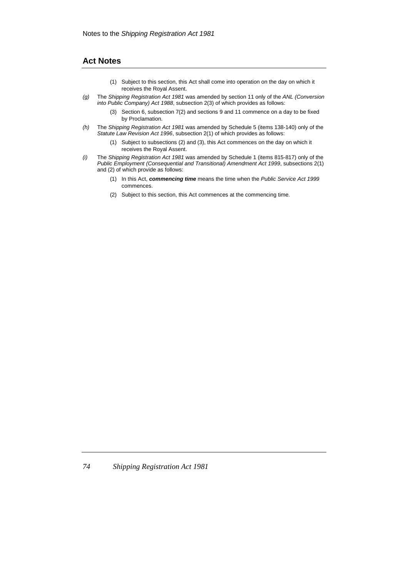### **Act Notes**

- (1) Subject to this section, this Act shall come into operation on the day on which it receives the Royal Assent.
- (g) The Shipping Registration Act 1981 was amended by section 11 only of the ANL (Conversion into Public Company) Act 1988, subsection 2(3) of which provides as follows:
	- (3) Section 6, subsection 7(2) and sections 9 and 11 commence on a day to be fixed by Proclamation.
- (h) The Shipping Registration Act 1981 was amended by Schedule 5 (items 138-140) only of the Statute Law Revision Act 1996, subsection 2(1) of which provides as follows:
	- (1) Subject to subsections (2) and (3), this Act commences on the day on which it receives the Royal Assent.
- (i) The Shipping Registration Act 1981 was amended by Schedule 1 (items 815-817) only of the Public Employment (Consequential and Transitional) Amendment Act 1999, subsections 2(1) and (2) of which provide as follows:
	- (1) In this Act, **commencing time** means the time when the Public Service Act 1999 commences.
	- (2) Subject to this section, this Act commences at the commencing time.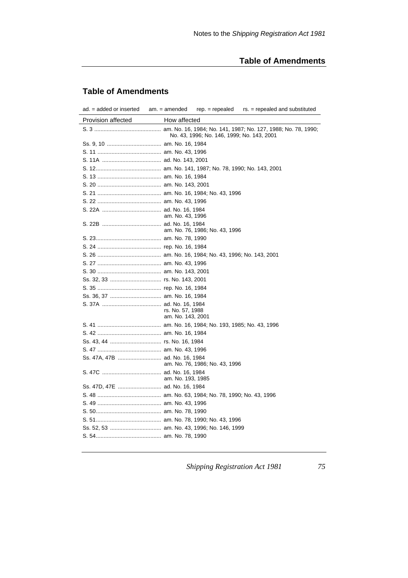# **Table of Amendments**

# **Table of Amendments**

| ad. = added or inserted        | $am = amended$                        | $rep. = rep.$                              | rs. = repealed and substituted |
|--------------------------------|---------------------------------------|--------------------------------------------|--------------------------------|
| Provision affected             | How affected                          |                                            |                                |
|                                |                                       | No. 43, 1996; No. 146, 1999; No. 143, 2001 |                                |
|                                |                                       |                                            |                                |
|                                |                                       |                                            |                                |
|                                |                                       |                                            |                                |
|                                |                                       |                                            |                                |
|                                |                                       |                                            |                                |
|                                |                                       |                                            |                                |
|                                |                                       |                                            |                                |
|                                |                                       |                                            |                                |
|                                | am. No. 43, 1996                      |                                            |                                |
|                                |                                       | am. No. 76, 1986; No. 43, 1996             |                                |
|                                |                                       |                                            |                                |
|                                |                                       |                                            |                                |
|                                |                                       |                                            |                                |
|                                |                                       |                                            |                                |
|                                |                                       |                                            |                                |
|                                |                                       |                                            |                                |
|                                |                                       |                                            |                                |
|                                |                                       |                                            |                                |
|                                | rs. No. 57, 1988<br>am. No. 143, 2001 |                                            |                                |
|                                |                                       |                                            |                                |
|                                |                                       |                                            |                                |
|                                |                                       |                                            |                                |
|                                |                                       |                                            |                                |
| Ss. 47A, 47B  ad. No. 16, 1984 |                                       | am. No. 76, 1986; No. 43, 1996             |                                |
|                                | am. No. 193, 1985                     |                                            |                                |
| Ss. 47D, 47E  ad. No. 16, 1984 |                                       |                                            |                                |
|                                |                                       |                                            |                                |
|                                |                                       |                                            |                                |
|                                |                                       |                                            |                                |
|                                |                                       |                                            |                                |
|                                |                                       |                                            |                                |
|                                |                                       |                                            |                                |
|                                |                                       |                                            |                                |

*Shipping Registration Act 1981 75*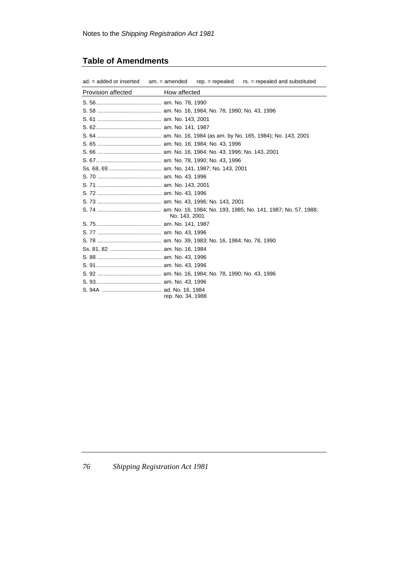# **Table of Amendments**

| $ad. = added$ or inserted | $am. = amended$   | $rep. = rep.$ | $rs = repcaled$ and substituted |
|---------------------------|-------------------|---------------|---------------------------------|
| Provision affected        | How affected      |               |                                 |
|                           |                   |               |                                 |
|                           |                   |               |                                 |
|                           |                   |               |                                 |
|                           |                   |               |                                 |
|                           |                   |               |                                 |
|                           |                   |               |                                 |
|                           |                   |               |                                 |
|                           |                   |               |                                 |
|                           |                   |               |                                 |
|                           |                   |               |                                 |
|                           |                   |               |                                 |
|                           |                   |               |                                 |
|                           |                   |               |                                 |
|                           | No. 143, 2001     |               |                                 |
|                           |                   |               |                                 |
|                           |                   |               |                                 |
|                           |                   |               |                                 |
|                           |                   |               |                                 |
|                           |                   |               |                                 |
|                           |                   |               |                                 |
|                           |                   |               |                                 |
|                           |                   |               |                                 |
|                           | rep. No. 34, 1988 |               |                                 |